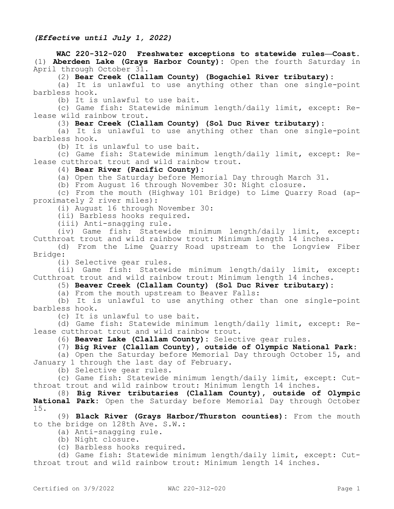#### **WAC 220-312-020 Freshwater exceptions to statewide rules—Coast.**  (1) **Aberdeen Lake (Grays Harbor County):** Open the fourth Saturday in April through October 31.

(2) **Bear Creek (Clallam County) (Bogachiel River tributary):**

(a) It is unlawful to use anything other than one single-point barbless hook.

(b) It is unlawful to use bait.

(c) Game fish: Statewide minimum length/daily limit, except: Release wild rainbow trout.

#### (3) **Bear Creek (Clallam County) (Sol Duc River tributary):**

(a) It is unlawful to use anything other than one single-point barbless hook.

(b) It is unlawful to use bait.

(c) Game fish: Statewide minimum length/daily limit, except: Release cutthroat trout and wild rainbow trout.

(4) **Bear River (Pacific County):**

(a) Open the Saturday before Memorial Day through March 31.

(b) From August 16 through November 30: Night closure.

(c) From the mouth (Highway 101 Bridge) to Lime Quarry Road (approximately 2 river miles):

(i) August 16 through November 30:

(ii) Barbless hooks required.

(iii) Anti-snagging rule.

(iv) Game fish: Statewide minimum length/daily limit, except: Cutthroat trout and wild rainbow trout: Minimum length 14 inches.

(d) From the Lime Quarry Road upstream to the Longview Fiber Bridge:

(i) Selective gear rules.

(ii) Game fish: Statewide minimum length/daily limit, except: Cutthroat trout and wild rainbow trout: Minimum length 14 inches.

(5) **Beaver Creek (Clallam County) (Sol Duc River tributary):**

(a) From the mouth upstream to Beaver Falls:

(b) It is unlawful to use anything other than one single-point barbless hook.

(c) It is unlawful to use bait.

(d) Game fish: Statewide minimum length/daily limit, except: Release cutthroat trout and wild rainbow trout.

(6) **Beaver Lake (Clallam County):** Selective gear rules.

(7) **Big River (Clallam County), outside of Olympic National Park:**

(a) Open the Saturday before Memorial Day through October 15, and January 1 through the last day of February.

(b) Selective gear rules.

(c) Game fish: Statewide minimum length/daily limit, except: Cutthroat trout and wild rainbow trout: Minimum length 14 inches.

(8) **Big River tributaries (Clallam County), outside of Olympic National Park:** Open the Saturday before Memorial Day through October 15.

(9) **Black River (Grays Harbor/Thurston counties):** From the mouth to the bridge on 128th Ave. S.W.:

- (a) Anti-snagging rule.
- (b) Night closure.
- (c) Barbless hooks required.

(d) Game fish: Statewide minimum length/daily limit, except: Cutthroat trout and wild rainbow trout: Minimum length 14 inches.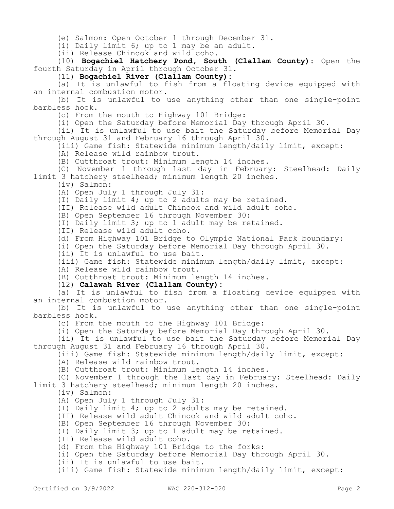(e) Salmon: Open October 1 through December 31.

(i) Daily limit 6; up to 1 may be an adult.

(ii) Release Chinook and wild coho.

(10) **Bogachiel Hatchery Pond, South (Clallam County):** Open the fourth Saturday in April through October 31.

(11) **Bogachiel River (Clallam County):**

(a) It is unlawful to fish from a floating device equipped with an internal combustion motor.

(b) It is unlawful to use anything other than one single-point barbless hook.

(c) From the mouth to Highway 101 Bridge:

(i) Open the Saturday before Memorial Day through April 30.

(ii) It is unlawful to use bait the Saturday before Memorial Day through August 31 and February 16 through April 30.

(iii) Game fish: Statewide minimum length/daily limit, except:

(A) Release wild rainbow trout.

(B) Cutthroat trout: Minimum length 14 inches.

(C) November 1 through last day in February: Steelhead: Daily limit 3 hatchery steelhead; minimum length 20 inches.

(iv) Salmon:

(A) Open July 1 through July 31:

(I) Daily limit 4; up to 2 adults may be retained.

(II) Release wild adult Chinook and wild adult coho.

(B) Open September 16 through November 30:

(I) Daily limit 3; up to 1 adult may be retained.

(II) Release wild adult coho.

(d) From Highway 101 Bridge to Olympic National Park boundary:

(i) Open the Saturday before Memorial Day through April 30.

(ii) It is unlawful to use bait.

(iii) Game fish: Statewide minimum length/daily limit, except:

(A) Release wild rainbow trout.

(B) Cutthroat trout: Minimum length 14 inches.

(12) **Calawah River (Clallam County):**

(a) It is unlawful to fish from a floating device equipped with an internal combustion motor.

(b) It is unlawful to use anything other than one single-point barbless hook.

(c) From the mouth to the Highway 101 Bridge:

(i) Open the Saturday before Memorial Day through April 30.

(ii) It is unlawful to use bait the Saturday before Memorial Day through August 31 and February 16 through April 30.

(iii) Game fish: Statewide minimum length/daily limit, except:

(A) Release wild rainbow trout.

(B) Cutthroat trout: Minimum length 14 inches.

(C) November 1 through the last day in February: Steelhead: Daily limit 3 hatchery steelhead; minimum length 20 inches.

(iv) Salmon:

(A) Open July 1 through July 31:

(I) Daily limit 4; up to 2 adults may be retained.

(II) Release wild adult Chinook and wild adult coho.

(B) Open September 16 through November 30:

(I) Daily limit 3; up to 1 adult may be retained.

(II) Release wild adult coho.

(d) From the Highway 101 Bridge to the forks:

(i) Open the Saturday before Memorial Day through April 30.

(ii) It is unlawful to use bait.

(iii) Game fish: Statewide minimum length/daily limit, except: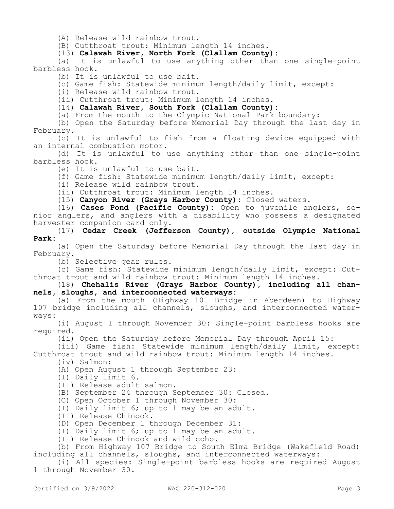(A) Release wild rainbow trout.

(B) Cutthroat trout: Minimum length 14 inches.

(13) **Calawah River, North Fork (Clallam County):**

(a) It is unlawful to use anything other than one single-point barbless hook.

(b) It is unlawful to use bait.

(c) Game fish: Statewide minimum length/daily limit, except:

(i) Release wild rainbow trout.

(ii) Cutthroat trout: Minimum length 14 inches.

(14) **Calawah River, South Fork (Clallam County):**

(a) From the mouth to the Olympic National Park boundary:

(b) Open the Saturday before Memorial Day through the last day in February.

(c) It is unlawful to fish from a floating device equipped with an internal combustion motor.

(d) It is unlawful to use anything other than one single-point barbless hook.

(e) It is unlawful to use bait.

(f) Game fish: Statewide minimum length/daily limit, except:

(i) Release wild rainbow trout.

(ii) Cutthroat trout: Minimum length 14 inches.

(15) **Canyon River (Grays Harbor County):** Closed waters.

(16) **Cases Pond (Pacific County):** Open to juvenile anglers, senior anglers, and anglers with a disability who possess a designated harvester companion card only.

(17) **Cedar Creek (Jefferson County), outside Olympic National Park:**

(a) Open the Saturday before Memorial Day through the last day in February.

(b) Selective gear rules.

(c) Game fish: Statewide minimum length/daily limit, except: Cutthroat trout and wild rainbow trout: Minimum length 14 inches.

(18) **Chehalis River (Grays Harbor County), including all channels, sloughs, and interconnected waterways:**

(a) From the mouth (Highway 101 Bridge in Aberdeen) to Highway 107 bridge including all channels, sloughs, and interconnected waterways:

(i) August 1 through November 30: Single-point barbless hooks are required.

(ii) Open the Saturday before Memorial Day through April 15:

(iii) Game fish: Statewide minimum length/daily limit, except: Cutthroat trout and wild rainbow trout: Minimum length 14 inches.

(iv) Salmon:

(A) Open August 1 through September 23:

(I) Daily limit 6.

(II) Release adult salmon.

(B) September 24 through September 30: Closed.

(C) Open October 1 through November 30:

(I) Daily limit 6; up to 1 may be an adult.

(II) Release Chinook.

(D) Open December 1 through December 31:

(I) Daily limit 6; up to 1 may be an adult.

(II) Release Chinook and wild coho.

(b) From Highway 107 Bridge to South Elma Bridge (Wakefield Road) including all channels, sloughs, and interconnected waterways:

(i) All species: Single-point barbless hooks are required August 1 through November 30.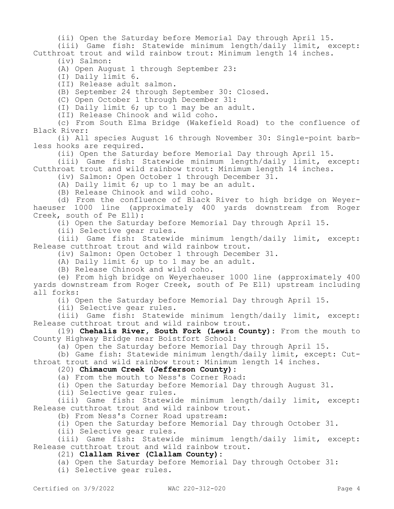(ii) Open the Saturday before Memorial Day through April 15.

(iii) Game fish: Statewide minimum length/daily limit, except: Cutthroat trout and wild rainbow trout: Minimum length 14 inches. (iv) Salmon:

(A) Open August 1 through September 23:

(I) Daily limit 6.

(II) Release adult salmon.

(B) September 24 through September 30: Closed.

(C) Open October 1 through December 31:

(I) Daily limit 6; up to 1 may be an adult.

(II) Release Chinook and wild coho.

(c) From South Elma Bridge (Wakefield Road) to the confluence of Black River:

(i) All species August 16 through November 30: Single-point barbless hooks are required.

(ii) Open the Saturday before Memorial Day through April 15.

(iii) Game fish: Statewide minimum length/daily limit, except: Cutthroat trout and wild rainbow trout: Minimum length 14 inches.

(iv) Salmon: Open October 1 through December 31.

(A) Daily limit 6; up to 1 may be an adult.

(B) Release Chinook and wild coho.

(d) From the confluence of Black River to high bridge on Weyerhaeuser 1000 line (approximately 400 yards downstream from Roger Creek, south of Pe Ell):

(i) Open the Saturday before Memorial Day through April 15.

(ii) Selective gear rules.

(iii) Game fish: Statewide minimum length/daily limit, except: Release cutthroat trout and wild rainbow trout.

(iv) Salmon: Open October 1 through December 31.

(A) Daily limit 6; up to 1 may be an adult.

(B) Release Chinook and wild coho.

(e) From high bridge on Weyerhaeuser 1000 line (approximately 400 yards downstream from Roger Creek, south of Pe Ell) upstream including all forks:

(i) Open the Saturday before Memorial Day through April 15.

(ii) Selective gear rules.

(iii) Game fish: Statewide minimum length/daily limit, except: Release cutthroat trout and wild rainbow trout.

(19) **Chehalis River, South Fork (Lewis County):** From the mouth to County Highway Bridge near Boistfort School:

(a) Open the Saturday before Memorial Day through April 15.

(b) Game fish: Statewide minimum length/daily limit, except: Cutthroat trout and wild rainbow trout: Minimum length 14 inches.

### (20) **Chimacum Creek (Jefferson County):**

(a) From the mouth to Ness's Corner Road:

(i) Open the Saturday before Memorial Day through August 31.

(ii) Selective gear rules.

(iii) Game fish: Statewide minimum length/daily limit, except: Release cutthroat trout and wild rainbow trout.

(b) From Ness's Corner Road upstream:

(i) Open the Saturday before Memorial Day through October 31.

(ii) Selective gear rules.

(iii) Game fish: Statewide minimum length/daily limit, except: Release cutthroat trout and wild rainbow trout.

### (21) **Clallam River (Clallam County):**

(a) Open the Saturday before Memorial Day through October 31:

(i) Selective gear rules.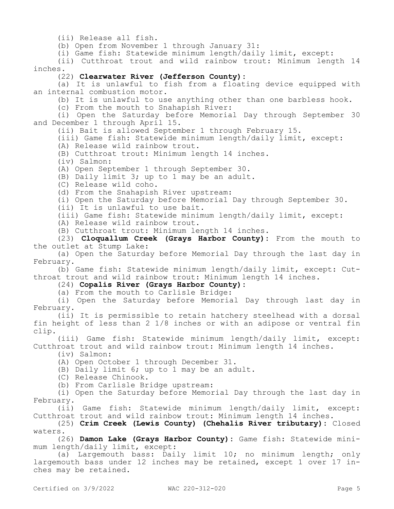(ii) Release all fish.

(b) Open from November 1 through January 31:

(i) Game fish: Statewide minimum length/daily limit, except:

(ii) Cutthroat trout and wild rainbow trout: Minimum length 14 inches.

### (22) **Clearwater River (Jefferson County):**

(a) It is unlawful to fish from a floating device equipped with an internal combustion motor.

(b) It is unlawful to use anything other than one barbless hook.

(c) From the mouth to Snahapish River:

(i) Open the Saturday before Memorial Day through September 30 and December 1 through April 15.

(ii) Bait is allowed September 1 through February 15.

(iii) Game fish: Statewide minimum length/daily limit, except:

(A) Release wild rainbow trout.

(B) Cutthroat trout: Minimum length 14 inches.

(iv) Salmon:

(A) Open September 1 through September 30.

(B) Daily limit 3; up to 1 may be an adult.

(C) Release wild coho.

(d) From the Snahapish River upstream:

(i) Open the Saturday before Memorial Day through September 30.

(ii) It is unlawful to use bait.

(iii) Game fish: Statewide minimum length/daily limit, except:

(A) Release wild rainbow trout.

(B) Cutthroat trout: Minimum length 14 inches.

(23) **Cloquallum Creek (Grays Harbor County):** From the mouth to the outlet at Stump Lake:

(a) Open the Saturday before Memorial Day through the last day in February.

(b) Game fish: Statewide minimum length/daily limit, except: Cutthroat trout and wild rainbow trout: Minimum length 14 inches.

(24) **Copalis River (Grays Harbor County):**

(a) From the mouth to Carlisle Bridge:

(i) Open the Saturday before Memorial Day through last day in February.

(ii) It is permissible to retain hatchery steelhead with a dorsal fin height of less than 2 1/8 inches or with an adipose or ventral fin clip.

(iii) Game fish: Statewide minimum length/daily limit, except: Cutthroat trout and wild rainbow trout: Minimum length 14 inches.

(iv) Salmon:

(A) Open October 1 through December 31.

(B) Daily limit 6; up to 1 may be an adult.

(C) Release Chinook.

(b) From Carlisle Bridge upstream:

(i) Open the Saturday before Memorial Day through the last day in February.

(ii) Game fish: Statewide minimum length/daily limit, except: Cutthroat trout and wild rainbow trout: Minimum length 14 inches.

(25) **Crim Creek (Lewis County) (Chehalis River tributary):** Closed waters.

(26) **Damon Lake (Grays Harbor County):** Game fish: Statewide minimum length/daily limit, except:

(a) Largemouth bass: Daily limit 10; no minimum length; only largemouth bass under 12 inches may be retained, except 1 over 17 inches may be retained.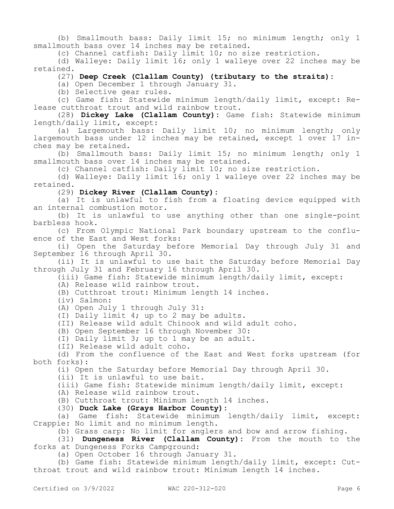(b) Smallmouth bass: Daily limit 15; no minimum length; only 1 smallmouth bass over 14 inches may be retained.

(c) Channel catfish: Daily limit 10; no size restriction.

(d) Walleye: Daily limit 16; only 1 walleye over 22 inches may be retained.

(27) **Deep Creek (Clallam County) (tributary to the straits):**

(a) Open December 1 through January 31.

(b) Selective gear rules.

(c) Game fish: Statewide minimum length/daily limit, except: Release cutthroat trout and wild rainbow trout.

(28) **Dickey Lake (Clallam County):** Game fish: Statewide minimum length/daily limit, except:

(a) Largemouth bass: Daily limit 10; no minimum length; only largemouth bass under 12 inches may be retained, except 1 over 17 inches may be retained.

(b) Smallmouth bass: Daily limit 15; no minimum length; only 1 smallmouth bass over 14 inches may be retained.

(c) Channel catfish: Daily limit 10; no size restriction.

(d) Walleye: Daily limit 16; only 1 walleye over 22 inches may be retained.

(29) **Dickey River (Clallam County):**

(a) It is unlawful to fish from a floating device equipped with an internal combustion motor.

(b) It is unlawful to use anything other than one single-point barbless hook.

(c) From Olympic National Park boundary upstream to the confluence of the East and West forks:

(i) Open the Saturday before Memorial Day through July 31 and September 16 through April 30.

(ii) It is unlawful to use bait the Saturday before Memorial Day through July 31 and February 16 through April 30.

(iii) Game fish: Statewide minimum length/daily limit, except:

(A) Release wild rainbow trout.

(B) Cutthroat trout: Minimum length 14 inches.

(iv) Salmon:

(A) Open July 1 through July 31:

(I) Daily limit 4; up to 2 may be adults.

(II) Release wild adult Chinook and wild adult coho.

(B) Open September 16 through November 30:

(I) Daily limit 3; up to 1 may be an adult.

(II) Release wild adult coho.

(d) From the confluence of the East and West forks upstream (for both forks):

(i) Open the Saturday before Memorial Day through April 30.

(ii) It is unlawful to use bait.

(iii) Game fish: Statewide minimum length/daily limit, except:

(A) Release wild rainbow trout.

(B) Cutthroat trout: Minimum length 14 inches.

(30) **Duck Lake (Grays Harbor County):**

(a) Game fish: Statewide minimum length/daily limit, except: Crappie: No limit and no minimum length.

(b) Grass carp: No limit for anglers and bow and arrow fishing.

(31) **Dungeness River (Clallam County):** From the mouth to the forks at Dungeness Forks Campground:

(a) Open October 16 through January 31.

(b) Game fish: Statewide minimum length/daily limit, except: Cutthroat trout and wild rainbow trout: Minimum length 14 inches.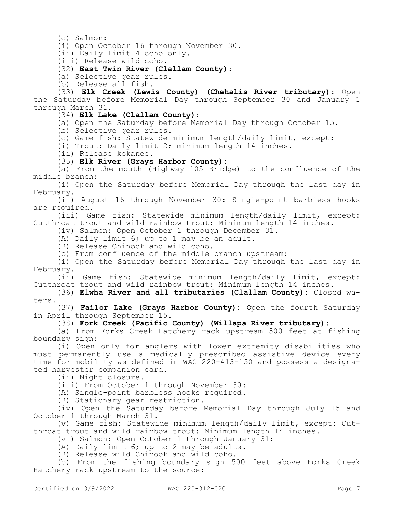(c) Salmon:

(i) Open October 16 through November 30.

(ii) Daily limit 4 coho only.

(iii) Release wild coho.

### (32) **East Twin River (Clallam County):**

(a) Selective gear rules.

(b) Release all fish.

(33) **Elk Creek (Lewis County) (Chehalis River tributary):** Open the Saturday before Memorial Day through September 30 and January 1 through March 31.

(34) **Elk Lake (Clallam County):**

(a) Open the Saturday before Memorial Day through October 15.

(b) Selective gear rules.

(c) Game fish: Statewide minimum length/daily limit, except:

(i) Trout: Daily limit 2; minimum length 14 inches.

(ii) Release kokanee.

#### (35) **Elk River (Grays Harbor County):**

(a) From the mouth (Highway 105 Bridge) to the confluence of the middle branch:

(i) Open the Saturday before Memorial Day through the last day in February.

(ii) August 16 through November 30: Single-point barbless hooks are required.

(iii) Game fish: Statewide minimum length/daily limit, except: Cutthroat trout and wild rainbow trout: Minimum length 14 inches.

(iv) Salmon: Open October 1 through December 31.

(A) Daily limit 6; up to 1 may be an adult.

(B) Release Chinook and wild coho.

(b) From confluence of the middle branch upstream:

(i) Open the Saturday before Memorial Day through the last day in February.

(ii) Game fish: Statewide minimum length/daily limit, except: Cutthroat trout and wild rainbow trout: Minimum length 14 inches.

(36) **Elwha River and all tributaries (Clallam County):** Closed waters.

(37) **Failor Lake (Grays Harbor County):** Open the fourth Saturday in April through September 15.

(38) **Fork Creek (Pacific County) (Willapa River tributary):**

(a) From Forks Creek Hatchery rack upstream 500 feet at fishing boundary sign:

(i) Open only for anglers with lower extremity disabilities who must permanently use a medically prescribed assistive device every time for mobility as defined in WAC 220-413-150 and possess a designated harvester companion card.

(ii) Night closure.

(iii) From October 1 through November 30:

(A) Single-point barbless hooks required.

(B) Stationary gear restriction.

(iv) Open the Saturday before Memorial Day through July 15 and October 1 through March 31.

(v) Game fish: Statewide minimum length/daily limit, except: Cutthroat trout and wild rainbow trout: Minimum length 14 inches.

(vi) Salmon: Open October 1 through January 31:

(A) Daily limit 6; up to 2 may be adults.

(B) Release wild Chinook and wild coho.

(b) From the fishing boundary sign 500 feet above Forks Creek Hatchery rack upstream to the source: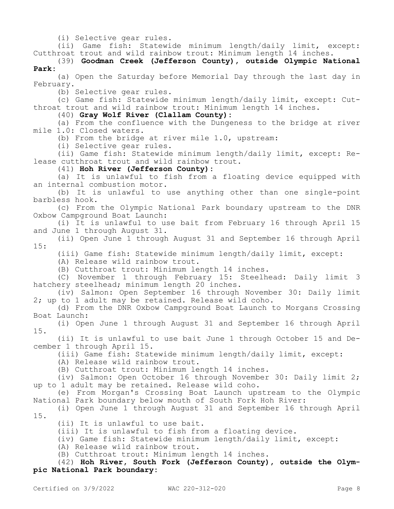(i) Selective gear rules.

(ii) Game fish: Statewide minimum length/daily limit, except: Cutthroat trout and wild rainbow trout: Minimum length 14 inches.

(39) **Goodman Creek (Jefferson County), outside Olympic National Park:**

(a) Open the Saturday before Memorial Day through the last day in February.

(b) Selective gear rules.

(c) Game fish: Statewide minimum length/daily limit, except: Cutthroat trout and wild rainbow trout: Minimum length 14 inches.

(40) **Gray Wolf River (Clallam County):**

(a) From the confluence with the Dungeness to the bridge at river mile 1.0: Closed waters.

(b) From the bridge at river mile 1.0, upstream:

(i) Selective gear rules.

(ii) Game fish: Statewide minimum length/daily limit, except: Release cutthroat trout and wild rainbow trout.

(41) **Hoh River (Jefferson County):**

(a) It is unlawful to fish from a floating device equipped with an internal combustion motor.

(b) It is unlawful to use anything other than one single-point barbless hook.

(c) From the Olympic National Park boundary upstream to the DNR Oxbow Campground Boat Launch:

(i) It is unlawful to use bait from February 16 through April 15 and June 1 through August 31.

(ii) Open June 1 through August 31 and September 16 through April 15:

(iii) Game fish: Statewide minimum length/daily limit, except:

(A) Release wild rainbow trout.

(B) Cutthroat trout: Minimum length 14 inches.

(C) November 1 through February 15: Steelhead: Daily limit 3 hatchery steelhead; minimum length 20 inches.

(iv) Salmon: Open September 16 through November 30: Daily limit 2; up to 1 adult may be retained. Release wild coho.

(d) From the DNR Oxbow Campground Boat Launch to Morgans Crossing Boat Launch:

(i) Open June 1 through August 31 and September 16 through April 15.

(ii) It is unlawful to use bait June 1 through October 15 and December 1 through April 15.

(iii) Game fish: Statewide minimum length/daily limit, except:

(A) Release wild rainbow trout.

(B) Cutthroat trout: Minimum length 14 inches.

(iv) Salmon: Open October 16 through November 30: Daily limit 2; up to 1 adult may be retained. Release wild coho.

(e) From Morgan's Crossing Boat Launch upstream to the Olympic National Park boundary below mouth of South Fork Hoh River:

(i) Open June 1 through August 31 and September 16 through April 15.

(ii) It is unlawful to use bait.

(iii) It is unlawful to fish from a floating device.

(iv) Game fish: Statewide minimum length/daily limit, except:

(A) Release wild rainbow trout.

(B) Cutthroat trout: Minimum length 14 inches.

(42) **Hoh River, South Fork (Jefferson County), outside the Olympic National Park boundary:**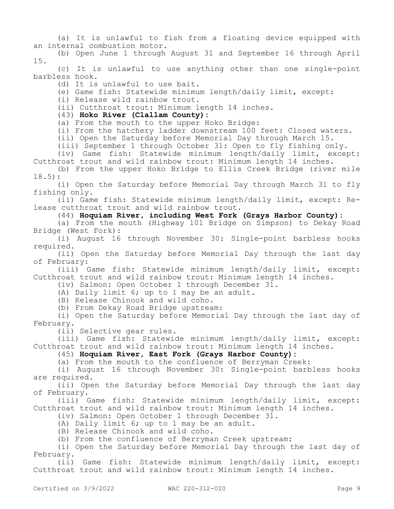(a) It is unlawful to fish from a floating device equipped with an internal combustion motor.

(b) Open June 1 through August 31 and September 16 through April 15.

(c) It is unlawful to use anything other than one single-point barbless hook.

(d) It is unlawful to use bait.

(e) Game fish: Statewide minimum length/daily limit, except:

(i) Release wild rainbow trout.

(ii) Cutthroat trout: Minimum length 14 inches.

### (43) **Hoko River (Clallam County):**

(a) From the mouth to the upper Hoko Bridge:

(i) From the hatchery ladder downstream 100 feet: Closed waters.

(ii) Open the Saturday before Memorial Day through March 15.

(iii) September 1 through October 31: Open to fly fishing only.

(iv) Game fish: Statewide minimum length/daily limit, except: Cutthroat trout and wild rainbow trout: Minimum length 14 inches.

(b) From the upper Hoko Bridge to Ellis Creek Bridge (river mile 18.5):

(i) Open the Saturday before Memorial Day through March 31 to fly fishing only.

(ii) Game fish: Statewide minimum length/daily limit, except: Release cutthroat trout and wild rainbow trout.

(44) **Hoquiam River, including West Fork (Grays Harbor County):**

(a) From the mouth (Highway 101 Bridge on Simpson) to Dekay Road Bridge (West Fork):

(i) August 16 through November 30: Single-point barbless hooks required.

(ii) Open the Saturday before Memorial Day through the last day of February:

(iii) Game fish: Statewide minimum length/daily limit, except: Cutthroat trout and wild rainbow trout: Minimum length 14 inches.

(iv) Salmon: Open October 1 through December 31.

(A) Daily limit 6; up to 1 may be an adult.

(B) Release Chinook and wild coho.

(b) From Dekay Road Bridge upstream:

(i) Open the Saturday before Memorial Day through the last day of February.

(ii) Selective gear rules.

(iii) Game fish: Statewide minimum length/daily limit, except: Cutthroat trout and wild rainbow trout: Minimum length 14 inches.

(45) **Hoquiam River, East Fork (Grays Harbor County):**

(a) From the mouth to the confluence of Berryman Creek:

(i) August 16 through November 30: Single-point barbless hooks are required.

(ii) Open the Saturday before Memorial Day through the last day of February.

(iii) Game fish: Statewide minimum length/daily limit, except: Cutthroat trout and wild rainbow trout: Minimum length 14 inches.

(iv) Salmon: Open October 1 through December 31.

(A) Daily limit 6; up to 1 may be an adult.

(B) Release Chinook and wild coho.

(b) From the confluence of Berryman Creek upstream:

(i) Open the Saturday before Memorial Day through the last day of February.

(ii) Game fish: Statewide minimum length/daily limit, except: Cutthroat trout and wild rainbow trout: Minimum length 14 inches.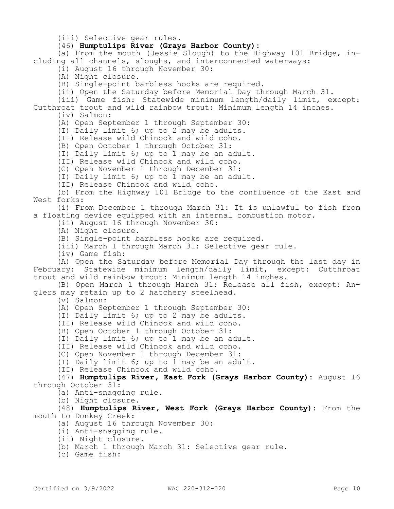(iii) Selective gear rules.

(46) **Humptulips River (Grays Harbor County):**

(a) From the mouth (Jessie Slough) to the Highway 101 Bridge, including all channels, sloughs, and interconnected waterways:

(i) August 16 through November 30:

(A) Night closure.

(B) Single-point barbless hooks are required.

(ii) Open the Saturday before Memorial Day through March 31.

(iii) Game fish: Statewide minimum length/daily limit, except: Cutthroat trout and wild rainbow trout: Minimum length 14 inches.

(iv) Salmon:

(A) Open September 1 through September 30:

(I) Daily limit 6; up to 2 may be adults.

(II) Release wild Chinook and wild coho.

(B) Open October 1 through October 31:

(I) Daily limit 6; up to 1 may be an adult.

(II) Release wild Chinook and wild coho.

(C) Open November 1 through December 31:

(I) Daily limit 6; up to 1 may be an adult.

(II) Release Chinook and wild coho.

(b) From the Highway 101 Bridge to the confluence of the East and West forks:

(i) From December 1 through March 31: It is unlawful to fish from a floating device equipped with an internal combustion motor.

(ii) August 16 through November 30:

(A) Night closure.

(B) Single-point barbless hooks are required.

(iii) March 1 through March 31: Selective gear rule.

(iv) Game fish:

(A) Open the Saturday before Memorial Day through the last day in February: Statewide minimum length/daily limit, except: Cutthroat trout and wild rainbow trout: Minimum length 14 inches.

(B) Open March 1 through March 31: Release all fish, except: Anglers may retain up to 2 hatchery steelhead.

(v) Salmon:

(A) Open September 1 through September 30:

(I) Daily limit 6; up to 2 may be adults.

(II) Release wild Chinook and wild coho.

(B) Open October 1 through October 31:

(I) Daily limit 6; up to 1 may be an adult.

(II) Release wild Chinook and wild coho.

(C) Open November 1 through December 31:

(I) Daily limit 6; up to 1 may be an adult.

(II) Release Chinook and wild coho.

(47) **Humptulips River, East Fork (Grays Harbor County):** August 16 through October 31:

(a) Anti-snagging rule.

(b) Night closure.

(48) **Humptulips River, West Fork (Grays Harbor County):** From the mouth to Donkey Creek:

- (a) August 16 through November 30:
- (i) Anti-snagging rule.
- (ii) Night closure.
- (b) March 1 through March 31: Selective gear rule.
- (c) Game fish: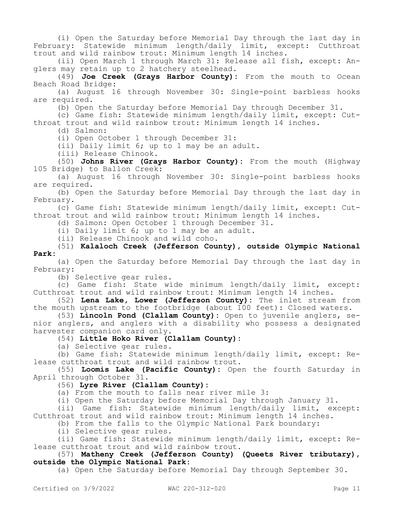(i) Open the Saturday before Memorial Day through the last day in February: Statewide minimum length/daily limit, except: Cutthroat trout and wild rainbow trout: Minimum length 14 inches.

(ii) Open March 1 through March 31: Release all fish, except: Anglers may retain up to 2 hatchery steelhead.

(49) **Joe Creek (Grays Harbor County):** From the mouth to Ocean Beach Road Bridge:

(a) August 16 through November 30: Single-point barbless hooks are required.

(b) Open the Saturday before Memorial Day through December 31.

(c) Game fish: Statewide minimum length/daily limit, except: Cutthroat trout and wild rainbow trout: Minimum length 14 inches.

(d) Salmon:

(i) Open October 1 through December 31:

(ii) Daily limit 6; up to 1 may be an adult.

(iii) Release Chinook.

(50) **Johns River (Grays Harbor County):** From the mouth (Highway 105 Bridge) to Ballon Creek:

(a) August 16 through November 30: Single-point barbless hooks are required.

(b) Open the Saturday before Memorial Day through the last day in February.

(c) Game fish: Statewide minimum length/daily limit, except: Cutthroat trout and wild rainbow trout: Minimum length 14 inches.

(d) Salmon: Open October 1 through December 31.

(i) Daily limit 6; up to 1 may be an adult.

(ii) Release Chinook and wild coho.

(51) **Kalaloch Creek (Jefferson County), outside Olympic National Park:**

(a) Open the Saturday before Memorial Day through the last day in February:

(b) Selective gear rules.

(c) Game fish: State wide minimum length/daily limit, except: Cutthroat trout and wild rainbow trout: Minimum length 14 inches.

(52) **Lena Lake, Lower (Jefferson County):** The inlet stream from the mouth upstream to the footbridge (about 100 feet): Closed waters.

(53) **Lincoln Pond (Clallam County):** Open to juvenile anglers, senior anglers, and anglers with a disability who possess a designated harvester companion card only.

(54) **Little Hoko River (Clallam County):**

(a) Selective gear rules.

(b) Game fish: Statewide minimum length/daily limit, except: Release cutthroat trout and wild rainbow trout.

(55) **Loomis Lake (Pacific County):** Open the fourth Saturday in April through October 31.

### (56) **Lyre River (Clallam County):**

(a) From the mouth to falls near river mile 3:

(i) Open the Saturday before Memorial Day through January 31.

(ii) Game fish: Statewide minimum length/daily limit, except: Cutthroat trout and wild rainbow trout: Minimum length 14 inches.

(b) From the falls to the Olympic National Park boundary:

(i) Selective gear rules.

(ii) Game fish: Statewide minimum length/daily limit, except: Release cutthroat trout and wild rainbow trout.

## (57) **Matheny Creek (Jefferson County) (Queets River tributary), outside the Olympic National Park:**

(a) Open the Saturday before Memorial Day through September 30.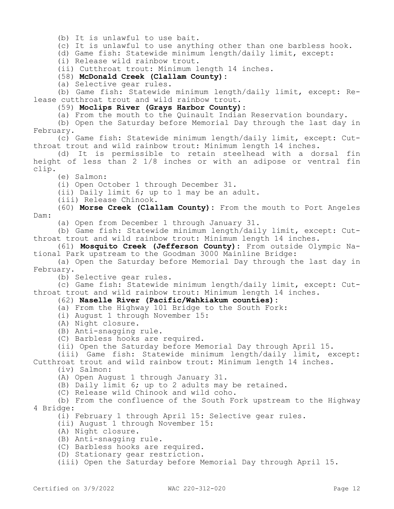(b) It is unlawful to use bait.

(c) It is unlawful to use anything other than one barbless hook.

(d) Game fish: Statewide minimum length/daily limit, except:

(i) Release wild rainbow trout.

(ii) Cutthroat trout: Minimum length 14 inches.

(58) **McDonald Creek (Clallam County):**

(a) Selective gear rules.

(b) Game fish: Statewide minimum length/daily limit, except: Release cutthroat trout and wild rainbow trout.

(59) **Moclips River (Grays Harbor County):**

(a) From the mouth to the Quinault Indian Reservation boundary.

(b) Open the Saturday before Memorial Day through the last day in February.

(c) Game fish: Statewide minimum length/daily limit, except: Cutthroat trout and wild rainbow trout: Minimum length 14 inches.

(d) It is permissible to retain steelhead with a dorsal fin height of less than 2 1/8 inches or with an adipose or ventral fin clip.

(e) Salmon:

(i) Open October 1 through December 31.

(ii) Daily limit 6; up to 1 may be an adult.

(iii) Release Chinook.

(60) **Morse Creek (Clallam County):** From the mouth to Port Angeles Dam:

(a) Open from December 1 through January 31.

(b) Game fish: Statewide minimum length/daily limit, except: Cutthroat trout and wild rainbow trout: Minimum length 14 inches.

(61) **Mosquito Creek (Jefferson County):** From outside Olympic National Park upstream to the Goodman 3000 Mainline Bridge:

(a) Open the Saturday before Memorial Day through the last day in February.

(b) Selective gear rules.

(c) Game fish: Statewide minimum length/daily limit, except: Cutthroat trout and wild rainbow trout: Minimum length 14 inches.

#### (62) **Naselle River (Pacific/Wahkiakum counties):**

- (a) From the Highway 101 Bridge to the South Fork:
- (i) August 1 through November 15:

(A) Night closure.

(B) Anti-snagging rule.

(C) Barbless hooks are required.

(ii) Open the Saturday before Memorial Day through April 15.

(iii) Game fish: Statewide minimum length/daily limit, except: Cutthroat trout and wild rainbow trout: Minimum length 14 inches.

(iv) Salmon:

(A) Open August 1 through January 31.

(B) Daily limit 6; up to 2 adults may be retained.

(C) Release wild Chinook and wild coho.

(b) From the confluence of the South Fork upstream to the Highway 4 Bridge:

(i) February 1 through April 15: Selective gear rules.

- (ii) August 1 through November 15:
- (A) Night closure.
- (B) Anti-snagging rule.

(C) Barbless hooks are required.

(D) Stationary gear restriction.

(iii) Open the Saturday before Memorial Day through April 15.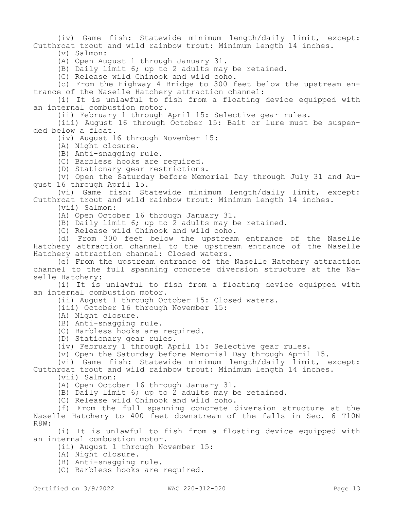(iv) Game fish: Statewide minimum length/daily limit, except: Cutthroat trout and wild rainbow trout: Minimum length 14 inches.

(v) Salmon:

(A) Open August 1 through January 31.

(B) Daily limit 6; up to 2 adults may be retained.

(C) Release wild Chinook and wild coho.

(c) From the Highway 4 Bridge to 300 feet below the upstream entrance of the Naselle Hatchery attraction channel:

(i) It is unlawful to fish from a floating device equipped with an internal combustion motor.

(ii) February 1 through April 15: Selective gear rules.

(iii) August 16 through October 15: Bait or lure must be suspended below a float.

(iv) August 16 through November 15:

(A) Night closure.

(B) Anti-snagging rule.

(C) Barbless hooks are required.

(D) Stationary gear restrictions.

(v) Open the Saturday before Memorial Day through July 31 and August 16 through April 15.

(vi) Game fish: Statewide minimum length/daily limit, except: Cutthroat trout and wild rainbow trout: Minimum length 14 inches.

(vii) Salmon:

(A) Open October 16 through January 31.

(B) Daily limit 6; up to 2 adults may be retained.

(C) Release wild Chinook and wild coho.

(d) From 300 feet below the upstream entrance of the Naselle Hatchery attraction channel to the upstream entrance of the Naselle Hatchery attraction channel: Closed waters.

(e) From the upstream entrance of the Naselle Hatchery attraction channel to the full spanning concrete diversion structure at the Naselle Hatchery:

(i) It is unlawful to fish from a floating device equipped with an internal combustion motor.

(ii) August 1 through October 15: Closed waters.

(iii) October 16 through November 15:

(A) Night closure.

(B) Anti-snagging rule.

(C) Barbless hooks are required.

(D) Stationary gear rules.

(iv) February 1 through April 15: Selective gear rules.

(v) Open the Saturday before Memorial Day through April 15.

(vi) Game fish: Statewide minimum length/daily limit, except: Cutthroat trout and wild rainbow trout: Minimum length 14 inches.

(vii) Salmon:

(A) Open October 16 through January 31.

(B) Daily limit 6; up to 2 adults may be retained.

(C) Release wild Chinook and wild coho.

(f) From the full spanning concrete diversion structure at the Naselle Hatchery to 400 feet downstream of the falls in Sec. 6 T10N R8W:

(i) It is unlawful to fish from a floating device equipped with an internal combustion motor.

(ii) August 1 through November 15:

(A) Night closure.

(B) Anti-snagging rule.

(C) Barbless hooks are required.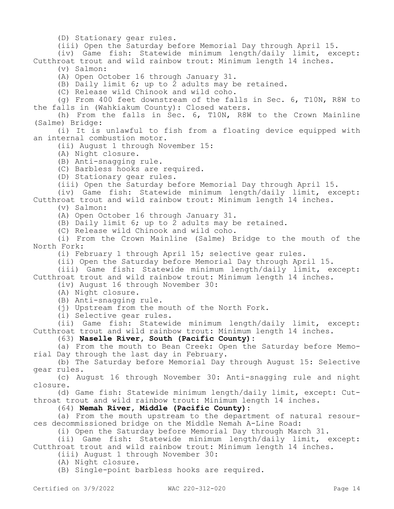(D) Stationary gear rules.

(iii) Open the Saturday before Memorial Day through April 15.

(iv) Game fish: Statewide minimum length/daily limit, except: Cutthroat trout and wild rainbow trout: Minimum length 14 inches.

(v) Salmon:

(A) Open October 16 through January 31.

(B) Daily limit 6; up to 2 adults may be retained.

(C) Release wild Chinook and wild coho.

(g) From 400 feet downstream of the falls in Sec. 6, T10N, R8W to the falls in (Wahkiakum County): Closed waters.

(h) From the falls in Sec. 6, T10N, R8W to the Crown Mainline (Salme) Bridge:

(i) It is unlawful to fish from a floating device equipped with an internal combustion motor.

(ii) August 1 through November 15:

(A) Night closure.

(B) Anti-snagging rule.

(C) Barbless hooks are required.

(D) Stationary gear rules.

(iii) Open the Saturday before Memorial Day through April 15.

(iv) Game fish: Statewide minimum length/daily limit, except: Cutthroat trout and wild rainbow trout: Minimum length 14 inches.

(v) Salmon:

(A) Open October 16 through January 31.

(B) Daily limit 6; up to 2 adults may be retained.

(C) Release wild Chinook and wild coho.

(i) From the Crown Mainline (Salme) Bridge to the mouth of the North Fork:

(i) February 1 through April 15; selective gear rules.

(ii) Open the Saturday before Memorial Day through April 15.

(iii) Game fish: Statewide minimum length/daily limit, except: Cutthroat trout and wild rainbow trout: Minimum length 14 inches.

(iv) August 16 through November 30:

(A) Night closure.

(B) Anti-snagging rule.

(j) Upstream from the mouth of the North Fork.

(i) Selective gear rules.

(ii) Game fish: Statewide minimum length/daily limit, except: Cutthroat trout and wild rainbow trout: Minimum length 14 inches.

(63) **Naselle River, South (Pacific County):**

(a) From the mouth to Bean Creek: Open the Saturday before Memorial Day through the last day in February.

(b) The Saturday before Memorial Day through August 15: Selective gear rules.

(c) August 16 through November 30: Anti-snagging rule and night closure.

(d) Game fish: Statewide minimum length/daily limit, except: Cutthroat trout and wild rainbow trout: Minimum length 14 inches.

(64) **Nemah River, Middle (Pacific County):**

(a) From the mouth upstream to the department of natural resources decommissioned bridge on the Middle Nemah A-Line Road:

(i) Open the Saturday before Memorial Day through March 31.

(ii) Game fish: Statewide minimum length/daily limit, except: Cutthroat trout and wild rainbow trout: Minimum length 14 inches.

(iii) August 1 through November 30:

(A) Night closure.

(B) Single-point barbless hooks are required.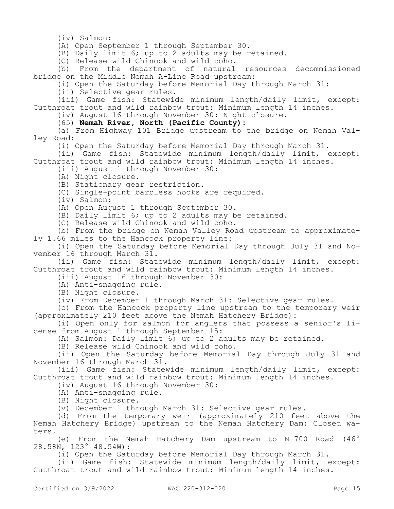(iv) Salmon:

(A) Open September 1 through September 30.

(B) Daily limit 6; up to 2 adults may be retained.

(C) Release wild Chinook and wild coho.

(b) From the department of natural resources decommissioned bridge on the Middle Nemah A-Line Road upstream:

(i) Open the Saturday before Memorial Day through March 31:

(ii) Selective gear rules.

(iii) Game fish: Statewide minimum length/daily limit, except: Cutthroat trout and wild rainbow trout: Minimum length 14 inches.

(iv) August 16 through November 30: Night closure.

(65) **Nemah River, North (Pacific County):**

(a) From Highway 101 Bridge upstream to the bridge on Nemah Valley Road:

(i) Open the Saturday before Memorial Day through March 31.

(ii) Game fish: Statewide minimum length/daily limit, except: Cutthroat trout and wild rainbow trout: Minimum length 14 inches.

(iii) August 1 through November 30:

(A) Night closure.

- (B) Stationary gear restriction.
- (C) Single-point barbless hooks are required.

(iv) Salmon:

(A) Open August 1 through September 30.

(B) Daily limit 6; up to 2 adults may be retained.

(C) Release wild Chinook and wild coho.

(b) From the bridge on Nemah Valley Road upstream to approximately 1.66 miles to the Hancock property line:

(i) Open the Saturday before Memorial Day through July 31 and November 16 through March 31.

(ii) Game fish: Statewide minimum length/daily limit, except: Cutthroat trout and wild rainbow trout: Minimum length 14 inches.

(iii) August 16 through November 30:

(A) Anti-snagging rule.

(B) Night closure.

(iv) From December 1 through March 31: Selective gear rules.

(c) From the Hancock property line upstream to the temporary weir (approximately 210 feet above the Nemah Hatchery Bridge):

(i) Open only for salmon for anglers that possess a senior's license from August 1 through September 15:

(A) Salmon: Daily limit 6; up to 2 adults may be retained.

(B) Release wild Chinook and wild coho.

(ii) Open the Saturday before Memorial Day through July 31 and November 16 through March 31.

(iii) Game fish: Statewide minimum length/daily limit, except: Cutthroat trout and wild rainbow trout: Minimum length 14 inches.

(iv) August 16 through November 30:

(A) Anti-snagging rule.

(B) Night closure.

(v) December 1 through March 31: Selective gear rules.

(d) From the temporary weir (approximately 210 feet above the Nemah Hatchery Bridge) upstream to the Nemah Hatchery Dam: Closed waters.

(e) From the Nemah Hatchery Dam upstream to N-700 Road (46° 28.58N, 123° 48.54W):

(i) Open the Saturday before Memorial Day through March 31.

(ii) Game fish: Statewide minimum length/daily limit, except: Cutthroat trout and wild rainbow trout: Minimum length 14 inches.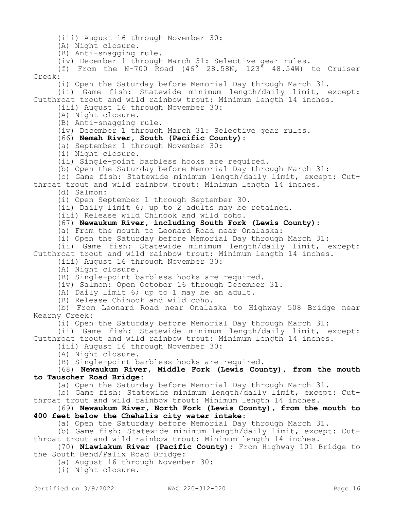(iii) August 16 through November 30: (A) Night closure. (B) Anti-snagging rule. (iv) December 1 through March 31: Selective gear rules. (f) From the N-700 Road (46° 28.58N, 123° 48.54W) to Cruiser Creek: (i) Open the Saturday before Memorial Day through March 31. (ii) Game fish: Statewide minimum length/daily limit, except: Cutthroat trout and wild rainbow trout: Minimum length 14 inches. (iii) August 16 through November 30: (A) Night closure. (B) Anti-snagging rule. (iv) December 1 through March 31: Selective gear rules. (66) **Nemah River, South (Pacific County):** (a) September 1 through November 30: (i) Night closure. (ii) Single-point barbless hooks are required. (b) Open the Saturday before Memorial Day through March 31: (c) Game fish: Statewide minimum length/daily limit, except: Cutthroat trout and wild rainbow trout: Minimum length 14 inches. (d) Salmon: (i) Open September 1 through September 30. (ii) Daily limit 6; up to 2 adults may be retained. (iii) Release wild Chinook and wild coho. (67) **Newaukum River, including South Fork (Lewis County):** (a) From the mouth to Leonard Road near Onalaska: (i) Open the Saturday before Memorial Day through March 31: (ii) Game fish: Statewide minimum length/daily limit, except: Cutthroat trout and wild rainbow trout: Minimum length 14 inches. (iii) August 16 through November 30: (A) Night closure. (B) Single-point barbless hooks are required. (iv) Salmon: Open October 16 through December 31. (A) Daily limit 6; up to 1 may be an adult. (B) Release Chinook and wild coho. (b) From Leonard Road near Onalaska to Highway 508 Bridge near Kearny Creek: (i) Open the Saturday before Memorial Day through March 31: (ii) Game fish: Statewide minimum length/daily limit, except: Cutthroat trout and wild rainbow trout: Minimum length 14 inches. (iii) August 16 through November 30: (A) Night closure. (B) Single-point barbless hooks are required. (68) **Newaukum River, Middle Fork (Lewis County), from the mouth to Tauscher Road Bridge:** (a) Open the Saturday before Memorial Day through March 31. (b) Game fish: Statewide minimum length/daily limit, except: Cutthroat trout and wild rainbow trout: Minimum length 14 inches. (69) **Newaukum River, North Fork (Lewis County), from the mouth to 400 feet below the Chehalis city water intake:** (a) Open the Saturday before Memorial Day through March 31. (b) Game fish: Statewide minimum length/daily limit, except: Cutthroat trout and wild rainbow trout: Minimum length 14 inches. (70) **Niawiakum River (Pacific County):** From Highway 101 Bridge to

the South Bend/Palix Road Bridge:

(a) August 16 through November 30:

(i) Night closure.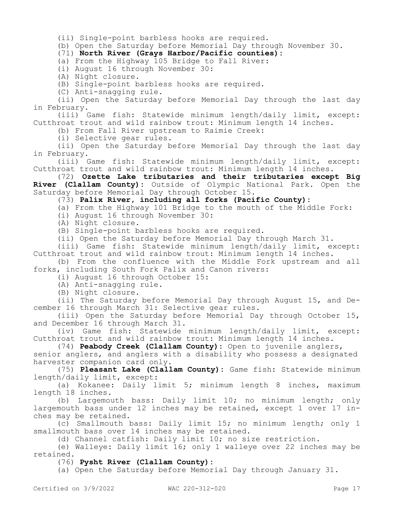(ii) Single-point barbless hooks are required.

(b) Open the Saturday before Memorial Day through November 30.

(71) **North River (Grays Harbor/Pacific counties):**

(a) From the Highway 105 Bridge to Fall River:

(i) August 16 through November 30:

(A) Night closure.

(B) Single-point barbless hooks are required.

(C) Anti-snagging rule.

(ii) Open the Saturday before Memorial Day through the last day in February.

(iii) Game fish: Statewide minimum length/daily limit, except: Cutthroat trout and wild rainbow trout: Minimum length 14 inches.

(b) From Fall River upstream to Raimie Creek:

(i) Selective gear rules.

(ii) Open the Saturday before Memorial Day through the last day in February.

(iii) Game fish: Statewide minimum length/daily limit, except: Cutthroat trout and wild rainbow trout: Minimum length 14 inches.

(72) **Ozette Lake tributaries and their tributaries except Big River (Clallam County):** Outside of Olympic National Park. Open the Saturday before Memorial Day through October 15.

(73) **Palix River, including all forks (Pacific County):**

(a) From the Highway 101 Bridge to the mouth of the Middle Fork:

(i) August 16 through November 30:

(A) Night closure.

(B) Single-point barbless hooks are required.

(ii) Open the Saturday before Memorial Day through March 31.

(iii) Game fish: Statewide minimum length/daily limit, except: Cutthroat trout and wild rainbow trout: Minimum length 14 inches.

(b) From the confluence with the Middle Fork upstream and all forks, including South Fork Palix and Canon rivers:

(i) August 16 through October 15:

(A) Anti-snagging rule.

(B) Night closure.

(ii) The Saturday before Memorial Day through August 15, and December 16 through March 31: Selective gear rules.

(iii) Open the Saturday before Memorial Day through October 15, and December 16 through March 31.

(iv) Game fish: Statewide minimum length/daily limit, except: Cutthroat trout and wild rainbow trout: Minimum length 14 inches.

(74) **Peabody Creek (Clallam County):** Open to juvenile anglers,

senior anglers, and anglers with a disability who possess a designated harvester companion card only.

(75) **Pleasant Lake (Clallam County):** Game fish: Statewide minimum length/daily limit, except:

(a) Kokanee: Daily limit 5; minimum length 8 inches, maximum length 18 inches.

(b) Largemouth bass: Daily limit 10; no minimum length; only largemouth bass under 12 inches may be retained, except 1 over 17 inches may be retained.

(c) Smallmouth bass: Daily limit 15; no minimum length; only 1 smallmouth bass over 14 inches may be retained.

(d) Channel catfish: Daily limit 10; no size restriction.

(e) Walleye: Daily limit 16; only 1 walleye over 22 inches may be retained.

(76) **Pysht River (Clallam County):**

(a) Open the Saturday before Memorial Day through January 31.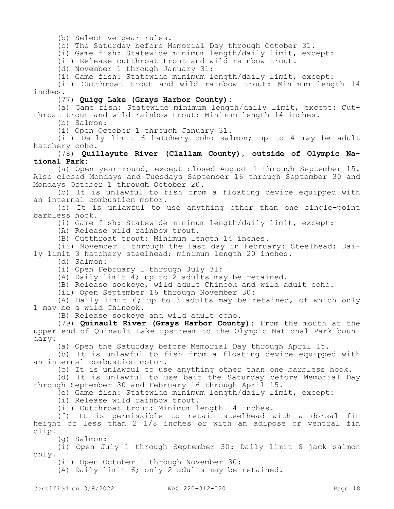(b) Selective gear rules.

(c) The Saturday before Memorial Day through October 31.

(i) Game fish: Statewide minimum length/daily limit, except:

(ii) Release cutthroat trout and wild rainbow trout.

(d) November 1 through January 31:

(i) Game fish: Statewide minimum length/daily limit, except:

(ii) Cutthroat trout and wild rainbow trout: Minimum length 14 inches.

#### (77) **Quigg Lake (Grays Harbor County):**

(a) Game fish: Statewide minimum length/daily limit, except: Cutthroat trout and wild rainbow trout: Minimum length 14 inches.

(b) Salmon:

(i) Open October 1 through January 31.

(ii) Daily limit 6 hatchery coho salmon; up to 4 may be adult hatchery coho.

### (78) **Quillayute River (Clallam County), outside of Olympic National Park:**

(a) Open year-round, except closed August 1 through September 15. Also closed Mondays and Tuesdays September 16 through September 30 and Mondays October 1 through October 20.

(b) It is unlawful to fish from a floating device equipped with an internal combustion motor.

(c) It is unlawful to use anything other than one single-point barbless hook.

(i) Game fish: Statewide minimum length/daily limit, except:

(A) Release wild rainbow trout.

(B) Cutthroat trout: Minimum length 14 inches.

(ii) November 1 through the last day in February: Steelhead: Daily limit 3 hatchery steelhead; minimum length 20 inches.

(d) Salmon:

(i) Open February 1 through July 31:

(A) Daily limit 4; up to 2 adults may be retained.

(B) Release sockeye, wild adult Chinook and wild adult coho.

(ii) Open September 16 through November 30:

(A) Daily limit 6; up to 3 adults may be retained, of which only 1 may be a wild Chinook.

(B) Release sockeye and wild adult coho.

(79) **Quinault River (Grays Harbor County):** From the mouth at the upper end of Quinault Lake upstream to the Olympic National Park boundary:

(a) Open the Saturday before Memorial Day through April 15.

(b) It is unlawful to fish from a floating device equipped with an internal combustion motor.

(c) It is unlawful to use anything other than one barbless hook.

(d) It is unlawful to use bait the Saturday before Memorial Day through September 30 and February 16 through April 15.

(e) Game fish: Statewide minimum length/daily limit, except:

(i) Release wild rainbow trout.

(ii) Cutthroat trout: Minimum length 14 inches.

(f) It is permissible to retain steelhead with a dorsal fin height of less than 2 1/8 inches or with an adipose or ventral fin clip.

(g) Salmon:

(i) Open July 1 through September 30: Daily limit 6 jack salmon only.

(ii) Open October 1 through November 30:

(A) Daily limit 6; only 2 adults may be retained.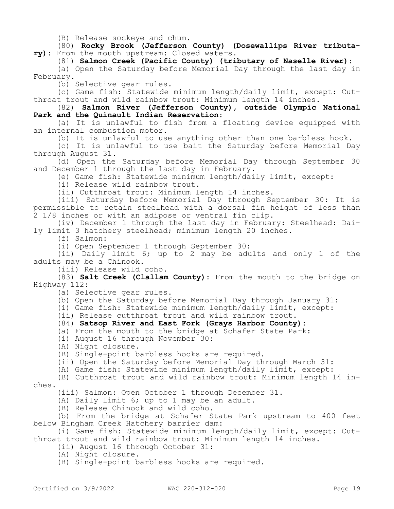(B) Release sockeye and chum.

(80) **Rocky Brook (Jefferson County) (Dosewallips River tributary):** From the mouth upstream: Closed waters.

(81) **Salmon Creek (Pacific County) (tributary of Naselle River):**

(a) Open the Saturday before Memorial Day through the last day in February.

(b) Selective gear rules.

(c) Game fish: Statewide minimum length/daily limit, except: Cutthroat trout and wild rainbow trout: Minimum length 14 inches.

(82) **Salmon River (Jefferson County), outside Olympic National Park and the Quinault Indian Reservation:**

(a) It is unlawful to fish from a floating device equipped with an internal combustion motor.

(b) It is unlawful to use anything other than one barbless hook.

(c) It is unlawful to use bait the Saturday before Memorial Day through August 31.

(d) Open the Saturday before Memorial Day through September 30 and December 1 through the last day in February.

(e) Game fish: Statewide minimum length/daily limit, except:

(i) Release wild rainbow trout.

(ii) Cutthroat trout: Minimum length 14 inches.

(iii) Saturday before Memorial Day through September 30: It is permissible to retain steelhead with a dorsal fin height of less than 2 1/8 inches or with an adipose or ventral fin clip.

(iv) December 1 through the last day in February: Steelhead: Daily limit 3 hatchery steelhead; minimum length 20 inches.

(f) Salmon:

(i) Open September 1 through September 30:

(ii) Daily limit 6; up to 2 may be adults and only 1 of the adults may be a Chinook.

(iii) Release wild coho.

(83) **Salt Creek (Clallam County):** From the mouth to the bridge on Highway 112:

(a) Selective gear rules.

(b) Open the Saturday before Memorial Day through January 31:

(i) Game fish: Statewide minimum length/daily limit, except:

(ii) Release cutthroat trout and wild rainbow trout.

(84) **Satsop River and East Fork (Grays Harbor County):**

(a) From the mouth to the bridge at Schafer State Park:

(i) August 16 through November 30:

(A) Night closure.

(B) Single-point barbless hooks are required.

(ii) Open the Saturday before Memorial Day through March 31:

(A) Game fish: Statewide minimum length/daily limit, except:

(B) Cutthroat trout and wild rainbow trout: Minimum length 14 inches.

(iii) Salmon: Open October 1 through December 31.

(A) Daily limit 6; up to 1 may be an adult.

(B) Release Chinook and wild coho.

(b) From the bridge at Schafer State Park upstream to 400 feet below Bingham Creek Hatchery barrier dam:

(i) Game fish: Statewide minimum length/daily limit, except: Cutthroat trout and wild rainbow trout: Minimum length 14 inches.

(ii) August 16 through October 31:

(A) Night closure.

(B) Single-point barbless hooks are required.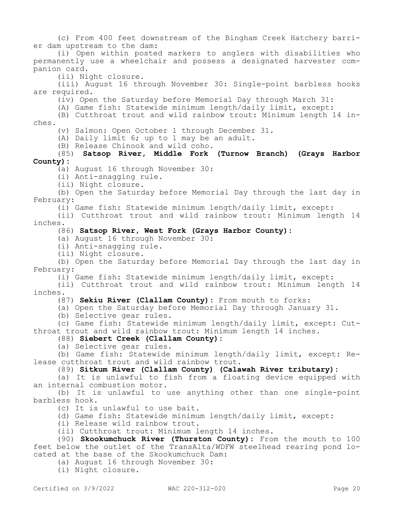(c) From 400 feet downstream of the Bingham Creek Hatchery barrier dam upstream to the dam:

(i) Open within posted markers to anglers with disabilities who permanently use a wheelchair and possess a designated harvester companion card.

(ii) Night closure.

(iii) August 16 through November 30: Single-point barbless hooks are required.

(iv) Open the Saturday before Memorial Day through March 31:

(A) Game fish: Statewide minimum length/daily limit, except:

(B) Cutthroat trout and wild rainbow trout: Minimum length 14 inches.

(v) Salmon: Open October 1 through December 31.

(A) Daily limit 6; up to 1 may be an adult.

(B) Release Chinook and wild coho.

(85) **Satsop River, Middle Fork (Turnow Branch) (Grays Harbor County):**

(a) August 16 through November 30:

(i) Anti-snagging rule.

(ii) Night closure.

(b) Open the Saturday before Memorial Day through the last day in February:

(i) Game fish: Statewide minimum length/daily limit, except:

(ii) Cutthroat trout and wild rainbow trout: Minimum length 14 inches.

#### (86) **Satsop River, West Fork (Grays Harbor County):**

(a) August 16 through November 30:

(i) Anti-snagging rule.

(ii) Night closure.

(b) Open the Saturday before Memorial Day through the last day in February:

(i) Game fish: Statewide minimum length/daily limit, except:

(ii) Cutthroat trout and wild rainbow trout: Minimum length 14 inches.

(87) **Sekiu River (Clallam County):** From mouth to forks:

(a) Open the Saturday before Memorial Day through January 31.

(b) Selective gear rules.

(c) Game fish: Statewide minimum length/daily limit, except: Cutthroat trout and wild rainbow trout: Minimum length 14 inches.

## (88) **Siebert Creek (Clallam County):**

(a) Selective gear rules.

(b) Game fish: Statewide minimum length/daily limit, except: Release cutthroat trout and wild rainbow trout.

### (89) **Sitkum River (Clallam County) (Calawah River tributary):**

(a) It is unlawful to fish from a floating device equipped with an internal combustion motor.

(b) It is unlawful to use anything other than one single-point barbless hook.

(c) It is unlawful to use bait.

(d) Game fish: Statewide minimum length/daily limit, except:

(i) Release wild rainbow trout.

(ii) Cutthroat trout: Minimum length 14 inches.

(90) **Skookumchuck River (Thurston County):** From the mouth to 100 feet below the outlet of the TransAlta/WDFW steelhead rearing pond located at the base of the Skookumchuck Dam:

(a) August 16 through November 30:

(i) Night closure.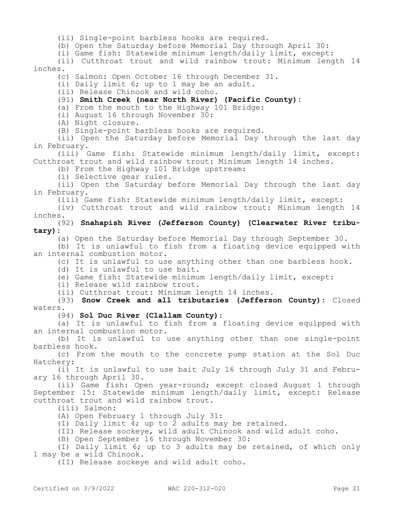(ii) Single-point barbless hooks are required.

(b) Open the Saturday before Memorial Day through April 30:

(i) Game fish: Statewide minimum length/daily limit, except:

(ii) Cutthroat trout and wild rainbow trout: Minimum length 14 inches.

(c) Salmon: Open October 16 through December 31.

(i) Daily limit 6; up to 1 may be an adult.

(ii) Release Chinook and wild coho.

(91) **Smith Creek (near North River) (Pacific County):**

(a) From the mouth to the Highway 101 Bridge:

(i) August 16 through November 30:

(A) Night closure.

(B) Single-point barbless hooks are required.

(ii) Open the Saturday before Memorial Day through the last day in February.

(iii) Game fish: Statewide minimum length/daily limit, except: Cutthroat trout and wild rainbow trout: Minimum length 14 inches.

(b) From the Highway 101 Bridge upstream:

(i) Selective gear rules.

(ii) Open the Saturday before Memorial Day through the last day in February.

(iii) Game fish: Statewide minimum length/daily limit, except:

(iv) Cutthroat trout and wild rainbow trout: Minimum length 14 inches.

(92) **Snahapish River (Jefferson County) (Clearwater River tributary):**

(a) Open the Saturday before Memorial Day through September 30.

(b) It is unlawful to fish from a floating device equipped with an internal combustion motor.

(c) It is unlawful to use anything other than one barbless hook.

(d) It is unlawful to use bait.

(e) Game fish: Statewide minimum length/daily limit, except:

(i) Release wild rainbow trout.

(ii) Cutthroat trout: Minimum length 14 inches.

(93) **Snow Creek and all tributaries (Jefferson County):** Closed waters.

(94) **Sol Duc River (Clallam County):**

(a) It is unlawful to fish from a floating device equipped with an internal combustion motor.

(b) It is unlawful to use anything other than one single-point barbless hook.

(c) From the mouth to the concrete pump station at the Sol Duc Hatchery:

(i) It is unlawful to use bait July 16 through July 31 and February 16 through April 30.

(ii) Game fish: Open year-round; except closed August 1 through September 15: Statewide minimum length/daily limit, except: Release cutthroat trout and wild rainbow trout.

(iii) Salmon:

(A) Open February 1 through July 31:

(I) Daily limit 4; up to 2 adults may be retained.

(II) Release sockeye, wild adult Chinook and wild adult coho.

(B) Open September 16 through November 30:

(I) Daily limit 6; up to 3 adults may be retained, of which only 1 may be a wild Chinook.

(II) Release sockeye and wild adult coho.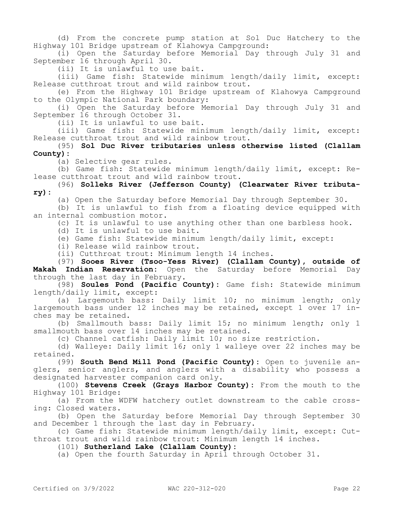(d) From the concrete pump station at Sol Duc Hatchery to the Highway 101 Bridge upstream of Klahowya Campground:

(i) Open the Saturday before Memorial Day through July 31 and September 16 through April 30.

(ii) It is unlawful to use bait.

(iii) Game fish: Statewide minimum length/daily limit, except: Release cutthroat trout and wild rainbow trout.

(e) From the Highway 101 Bridge upstream of Klahowya Campground to the Olympic National Park boundary:

(i) Open the Saturday before Memorial Day through July 31 and September 16 through October 31.

(ii) It is unlawful to use bait.

(iii) Game fish: Statewide minimum length/daily limit, except: Release cutthroat trout and wild rainbow trout.

(95) **Sol Duc River tributaries unless otherwise listed (Clallam County):**

(a) Selective gear rules.

(b) Game fish: Statewide minimum length/daily limit, except: Release cutthroat trout and wild rainbow trout.

### (96) **Solleks River (Jefferson County) (Clearwater River tributary):**

(a) Open the Saturday before Memorial Day through September 30.

(b) It is unlawful to fish from a floating device equipped with an internal combustion motor.

(c) It is unlawful to use anything other than one barbless hook.

(d) It is unlawful to use bait.

(e) Game fish: Statewide minimum length/daily limit, except:

(i) Release wild rainbow trout.

(ii) Cutthroat trout: Minimum length 14 inches.

(97) **Sooes River (Tsoo-Yess River) (Clallam County), outside of Makah Indian Reservation:** Open the Saturday before Memorial Day through the last day in February.

(98) **Soules Pond (Pacific County):** Game fish: Statewide minimum length/daily limit, except:

(a) Largemouth bass: Daily limit 10; no minimum length; only largemouth bass under 12 inches may be retained, except 1 over 17 inches may be retained.

(b) Smallmouth bass: Daily limit 15; no minimum length; only 1 smallmouth bass over 14 inches may be retained.

(c) Channel catfish: Daily limit 10; no size restriction.

(d) Walleye: Daily limit 16; only 1 walleye over 22 inches may be retained.

(99) **South Bend Mill Pond (Pacific County):** Open to juvenile anglers, senior anglers, and anglers with a disability who possess a designated harvester companion card only.

(100) **Stevens Creek (Grays Harbor County):** From the mouth to the Highway 101 Bridge:

(a) From the WDFW hatchery outlet downstream to the cable crossing: Closed waters.

(b) Open the Saturday before Memorial Day through September 30 and December 1 through the last day in February.

(c) Game fish: Statewide minimum length/daily limit, except: Cutthroat trout and wild rainbow trout: Minimum length 14 inches.

(101) **Sutherland Lake (Clallam County):**

(a) Open the fourth Saturday in April through October 31.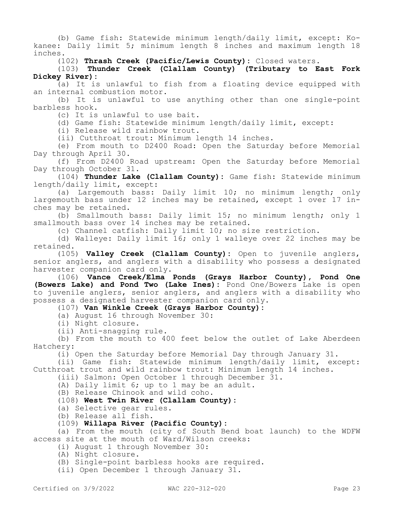(b) Game fish: Statewide minimum length/daily limit, except: Kokanee: Daily limit 5; minimum length 8 inches and maximum length 18 inches.

(102) **Thrash Creek (Pacific/Lewis County):** Closed waters.

#### (103) **Thunder Creek (Clallam County) (Tributary to East Fork Dickey River):**

(a) It is unlawful to fish from a floating device equipped with an internal combustion motor.

(b) It is unlawful to use anything other than one single-point barbless hook.

(c) It is unlawful to use bait.

(d) Game fish: Statewide minimum length/daily limit, except:

(i) Release wild rainbow trout.

(ii) Cutthroat trout: Minimum length 14 inches.

(e) From mouth to D2400 Road: Open the Saturday before Memorial Day through April 30.

(f) From D2400 Road upstream: Open the Saturday before Memorial Day through October 31.

(104) **Thunder Lake (Clallam County):** Game fish: Statewide minimum length/daily limit, except:

(a) Largemouth bass: Daily limit 10; no minimum length; only largemouth bass under 12 inches may be retained, except 1 over 17 inches may be retained.

(b) Smallmouth bass: Daily limit 15; no minimum length; only 1 smallmouth bass over 14 inches may be retained.

(c) Channel catfish: Daily limit 10; no size restriction.

(d) Walleye: Daily limit 16; only 1 walleye over 22 inches may be retained.

(105) **Valley Creek (Clallam County):** Open to juvenile anglers, senior anglers, and anglers with a disability who possess a designated harvester companion card only.

(106) **Vance Creek/Elma Ponds (Grays Harbor County), Pond One (Bowers Lake) and Pond Two (Lake Ines):** Pond One/Bowers Lake is open to juvenile anglers, senior anglers, and anglers with a disability who possess a designated harvester companion card only.

(107) **Van Winkle Creek (Grays Harbor County):**

(a) August 16 through November 30:

(i) Night closure.

(ii) Anti-snagging rule.

(b) From the mouth to 400 feet below the outlet of Lake Aberdeen Hatchery:

(i) Open the Saturday before Memorial Day through January 31.

(ii) Game fish: Statewide minimum length/daily limit, except: Cutthroat trout and wild rainbow trout: Minimum length 14 inches.

(iii) Salmon: Open October 1 through December 31.

(A) Daily limit 6; up to 1 may be an adult.

(B) Release Chinook and wild coho.

(108) **West Twin River (Clallam County):**

(a) Selective gear rules.

(b) Release all fish.

### (109) **Willapa River (Pacific County):**

(a) From the mouth (city of South Bend boat launch) to the WDFW access site at the mouth of Ward/Wilson creeks:

(i) August 1 through November 30:

(A) Night closure.

(B) Single-point barbless hooks are required.

(ii) Open December 1 through January 31.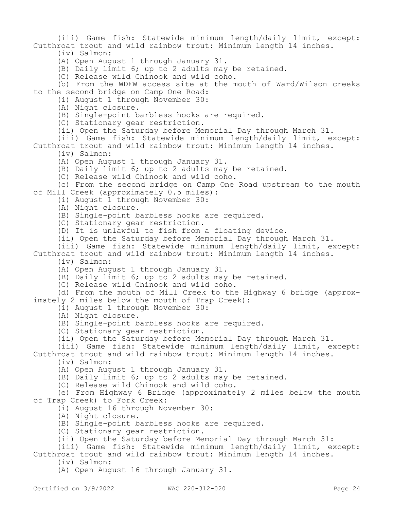(iii) Game fish: Statewide minimum length/daily limit, except: Cutthroat trout and wild rainbow trout: Minimum length 14 inches.

(iv) Salmon:

(A) Open August 1 through January 31.

(B) Daily limit 6; up to 2 adults may be retained.

(C) Release wild Chinook and wild coho.

(b) From the WDFW access site at the mouth of Ward/Wilson creeks to the second bridge on Camp One Road:

(i) August 1 through November 30:

(A) Night closure.

(B) Single-point barbless hooks are required.

(C) Stationary gear restriction.

(ii) Open the Saturday before Memorial Day through March 31.

(iii) Game fish: Statewide minimum length/daily limit, except: Cutthroat trout and wild rainbow trout: Minimum length 14 inches.

(iv) Salmon:

(A) Open August 1 through January 31.

(B) Daily limit 6; up to 2 adults may be retained.

(C) Release wild Chinook and wild coho.

(c) From the second bridge on Camp One Road upstream to the mouth of Mill Creek (approximately 0.5 miles):

(i) August 1 through November 30:

(A) Night closure.

(B) Single-point barbless hooks are required.

(C) Stationary gear restriction.

(D) It is unlawful to fish from a floating device.

(ii) Open the Saturday before Memorial Day through March 31.

(iii) Game fish: Statewide minimum length/daily limit, except: Cutthroat trout and wild rainbow trout: Minimum length 14 inches.

(iv) Salmon:

(A) Open August 1 through January 31.

(B) Daily limit 6; up to 2 adults may be retained.

(C) Release wild Chinook and wild coho.

(d) From the mouth of Mill Creek to the Highway 6 bridge (approximately 2 miles below the mouth of Trap Creek):

(i) August 1 through November 30:

(A) Night closure.

(B) Single-point barbless hooks are required.

(C) Stationary gear restriction.

(ii) Open the Saturday before Memorial Day through March 31.

(iii) Game fish: Statewide minimum length/daily limit, except: Cutthroat trout and wild rainbow trout: Minimum length 14 inches.

(iv) Salmon:

(A) Open August 1 through January 31.

(B) Daily limit 6; up to 2 adults may be retained.

(C) Release wild Chinook and wild coho.

(e) From Highway 6 Bridge (approximately 2 miles below the mouth of Trap Creek) to Fork Creek:

(i) August 16 through November 30:

(A) Night closure.

(B) Single-point barbless hooks are required.

(C) Stationary gear restriction.

(ii) Open the Saturday before Memorial Day through March 31:

(iii) Game fish: Statewide minimum length/daily limit, except: Cutthroat trout and wild rainbow trout: Minimum length 14 inches.

(iv) Salmon:

(A) Open August 16 through January 31.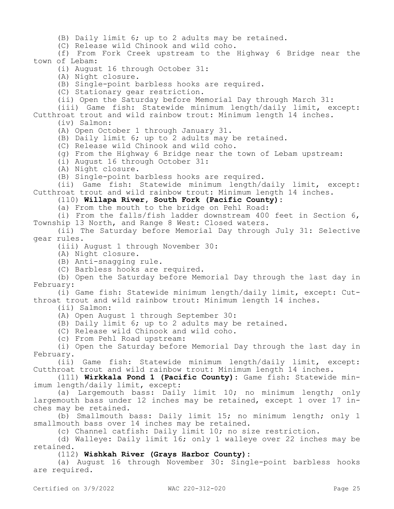(B) Daily limit 6; up to 2 adults may be retained.

(C) Release wild Chinook and wild coho.

(f) From Fork Creek upstream to the Highway 6 Bridge near the town of Lebam:

(i) August 16 through October 31:

(A) Night closure.

(B) Single-point barbless hooks are required.

(C) Stationary gear restriction.

(ii) Open the Saturday before Memorial Day through March 31:

(iii) Game fish: Statewide minimum length/daily limit, except: Cutthroat trout and wild rainbow trout: Minimum length 14 inches.

(iv) Salmon:

(A) Open October 1 through January 31.

(B) Daily limit 6; up to 2 adults may be retained.

(C) Release wild Chinook and wild coho.

(g) From the Highway 6 Bridge near the town of Lebam upstream:

(i) August 16 through October 31:

(A) Night closure.

(B) Single-point barbless hooks are required.

(ii) Game fish: Statewide minimum length/daily limit, except: Cutthroat trout and wild rainbow trout: Minimum length 14 inches.

(110) **Willapa River, South Fork (Pacific County):**

(a) From the mouth to the bridge on Pehl Road:

(i) From the falls/fish ladder downstream 400 feet in Section 6, Township 13 North, and Range 8 West: Closed waters.

(ii) The Saturday before Memorial Day through July 31: Selective gear rules.

(iii) August 1 through November 30:

(A) Night closure.

(B) Anti-snagging rule.

(C) Barbless hooks are required.

(b) Open the Saturday before Memorial Day through the last day in February:

(i) Game fish: Statewide minimum length/daily limit, except: Cutthroat trout and wild rainbow trout: Minimum length 14 inches.

(ii) Salmon:

(A) Open August 1 through September 30:

(B) Daily limit 6; up to 2 adults may be retained.

(C) Release wild Chinook and wild coho.

(c) From Pehl Road upstream:

(i) Open the Saturday before Memorial Day through the last day in February.

(ii) Game fish: Statewide minimum length/daily limit, except: Cutthroat trout and wild rainbow trout: Minimum length 14 inches.

(111) **Wirkkala Pond 1 (Pacific County):** Game fish: Statewide minimum length/daily limit, except:

(a) Largemouth bass: Daily limit 10; no minimum length; only largemouth bass under 12 inches may be retained, except 1 over 17 inches may be retained.

(b) Smallmouth bass: Daily limit 15; no minimum length; only 1 smallmouth bass over 14 inches may be retained.

(c) Channel catfish: Daily limit 10; no size restriction.

(d) Walleye: Daily limit 16; only 1 walleye over 22 inches may be retained.

### (112) **Wishkah River (Grays Harbor County):**

(a) August 16 through November 30: Single-point barbless hooks are required.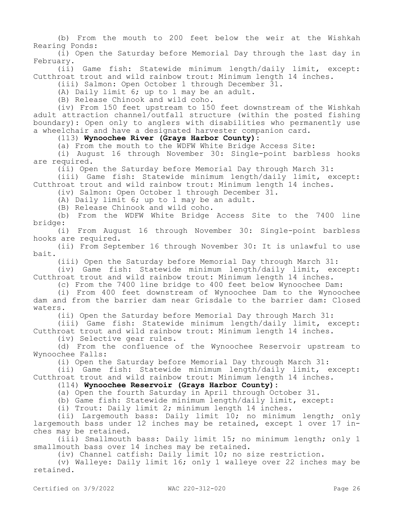(b) From the mouth to 200 feet below the weir at the Wishkah Rearing Ponds:

(i) Open the Saturday before Memorial Day through the last day in February.

(ii) Game fish: Statewide minimum length/daily limit, except: Cutthroat trout and wild rainbow trout: Minimum length 14 inches.

(iii) Salmon: Open October 1 through December 31.

(A) Daily limit 6; up to 1 may be an adult.

(B) Release Chinook and wild coho.

(iv) From 150 feet upstream to 150 feet downstream of the Wishkah adult attraction channel/outfall structure (within the posted fishing boundary): Open only to anglers with disabilities who permanently use a wheelchair and have a designated harvester companion card.

(113) **Wynoochee River (Grays Harbor County):**

(a) From the mouth to the WDFW White Bridge Access Site:

(i) August 16 through November 30: Single-point barbless hooks are required.

(ii) Open the Saturday before Memorial Day through March 31:

(iii) Game fish: Statewide minimum length/daily limit, except: Cutthroat trout and wild rainbow trout: Minimum length 14 inches.

(iv) Salmon: Open October 1 through December 31.

(A) Daily limit 6; up to 1 may be an adult.

(B) Release Chinook and wild coho.

(b) From the WDFW White Bridge Access Site to the 7400 line bridge:

(i) From August 16 through November 30: Single-point barbless hooks are required.

(ii) From September 16 through November 30: It is unlawful to use bait.

(iii) Open the Saturday before Memorial Day through March 31:

(iv) Game fish: Statewide minimum length/daily limit, except: Cutthroat trout and wild rainbow trout: Minimum length 14 inches.

(c) From the 7400 line bridge to 400 feet below Wynoochee Dam:

(i) From 400 feet downstream of Wynoochee Dam to the Wynoochee dam and from the barrier dam near Grisdale to the barrier dam: Closed waters.

(ii) Open the Saturday before Memorial Day through March 31:

(iii) Game fish: Statewide minimum length/daily limit, except: Cutthroat trout and wild rainbow trout: Minimum length 14 inches.

(iv) Selective gear rules.

(d) From the confluence of the Wynoochee Reservoir upstream to Wynoochee Falls:

(i) Open the Saturday before Memorial Day through March 31:

(ii) Game fish: Statewide minimum length/daily limit, except: Cutthroat trout and wild rainbow trout: Minimum length 14 inches.

### (114) **Wynoochee Reservoir (Grays Harbor County):**

(a) Open the fourth Saturday in April through October 31.

(b) Game fish: Statewide minimum length/daily limit, except:

(i) Trout: Daily limit 2; minimum length 14 inches.

(ii) Largemouth bass: Daily limit 10; no minimum length; only largemouth bass under 12 inches may be retained, except 1 over 17 inches may be retained.

(iii) Smallmouth bass: Daily limit 15; no minimum length; only 1 smallmouth bass over 14 inches may be retained.

(iv) Channel catfish: Daily limit 10; no size restriction.

(v) Walleye: Daily limit 16; only 1 walleye over 22 inches may be retained.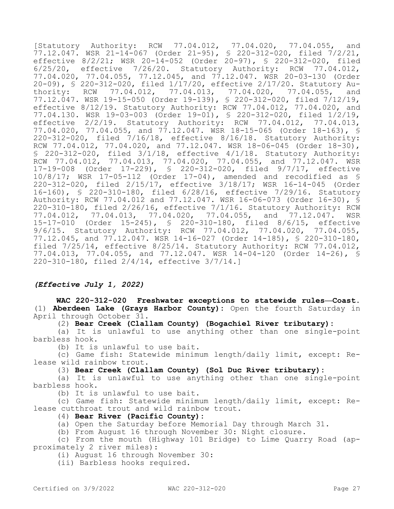[Statutory Authority: RCW 77.04.012, 77.04.020, 77.04.055, and 77.12.047. WSR 21-14-067 (Order 21-95), § 220-312-020, filed 7/2/21, effective 8/2/21; WSR 20-14-052 (Order 20-97), § 220-312-020, filed 6/25/20, effective 7/26/20. Statutory Authority: RCW 77.04.012, 77.04.020, 77.04.055, 77.12.045, and 77.12.047. WSR 20-03-130 (Order 20-09), § 220-312-020, filed 1/17/20, effective 2/17/20. Statutory Au-<br>thority: RCW 77.04.012, 77.04.013, 77.04.020, 77.04.055, and thority:  $RCW$  77.04.012, 77.12.047. WSR 19-15-050 (Order 19-139), § 220-312-020, filed 7/12/19, effective 8/12/19. Statutory Authority: RCW 77.04.012, 77.04.020, and 77.04.130. WSR 19-03-003 (Order 19-01), § 220-312-020, filed 1/2/19, effective 2/2/19. Statutory Authority: RCW 77.04.012, 77.04.013, 77.04.020, 77.04.055, and 77.12.047. WSR 18-15-065 (Order 18-163), § 220-312-020, filed 7/16/18, effective 8/16/18. Statutory Authority: RCW 77.04.012, 77.04.020, and 77.12.047. WSR 18-06-045 (Order 18-30), § 220-312-020, filed 3/1/18, effective 4/1/18. Statutory Authority: RCW 77.04.012, 77.04.013, 77.04.020, 77.04.055, and 77.12.047. WSR 17-19-008 (Order 17-229), § 220-312-020, filed 9/7/17, effective 10/8/17; WSR 17-05-112 (Order 17-04), amended and recodified as § 220-312-020, filed 2/15/17, effective 3/18/17; WSR 16-14-045 (Order 16-160), § 220-310-180, filed 6/28/16, effective 7/29/16. Statutory Authority: RCW 77.04.012 and 77.12.047. WSR 16-06-073 (Order 16-30), § 220-310-180, filed 2/26/16, effective 7/1/16. Statutory Authority: RCW 77.04.013, 77.04.020, 77.04.055, and 77.12.047. 15-17-010 (Order 15-245), § 220-310-180, filed 8/6/15, effective 9/6/15. Statutory Authority: RCW 77.04.012, 77.04.020, 77.04.055, 77.12.045, and 77.12.047. WSR 14-16-027 (Order 14-185), § 220-310-180, filed 7/25/14, effective 8/25/14. Statutory Authority: RCW 77.04.012, 77.04.013, 77.04.055, and 77.12.047. WSR 14-04-120 (Order 14-26), § 220-310-180, filed 2/4/14, effective 3/7/14.]

## *(Effective July 1, 2022)*

**WAC 220-312-020 Freshwater exceptions to statewide rules—Coast.**  (1) **Aberdeen Lake (Grays Harbor County):** Open the fourth Saturday in April through October 31.

(2) **Bear Creek (Clallam County) (Bogachiel River tributary):**

(a) It is unlawful to use anything other than one single-point barbless hook.

(b) It is unlawful to use bait.

(c) Game fish: Statewide minimum length/daily limit, except: Release wild rainbow trout.

(3) **Bear Creek (Clallam County) (Sol Duc River tributary):**

(a) It is unlawful to use anything other than one single-point barbless hook.

(b) It is unlawful to use bait.

(c) Game fish: Statewide minimum length/daily limit, except: Release cutthroat trout and wild rainbow trout.

### (4) **Bear River (Pacific County):**

(a) Open the Saturday before Memorial Day through March 31.

(b) From August 16 through November 30: Night closure.

(c) From the mouth (Highway 101 Bridge) to Lime Quarry Road (approximately 2 river miles):

(i) August 16 through November 30:

(ii) Barbless hooks required.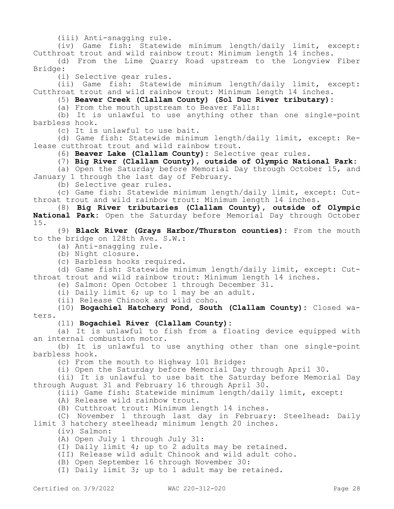(iii) Anti-snagging rule.

(iv) Game fish: Statewide minimum length/daily limit, except: Cutthroat trout and wild rainbow trout: Minimum length 14 inches.

(d) From the Lime Quarry Road upstream to the Longview Fiber Bridge:

(i) Selective gear rules.

(ii) Game fish: Statewide minimum length/daily limit, except: Cutthroat trout and wild rainbow trout: Minimum length 14 inches.

(5) **Beaver Creek (Clallam County) (Sol Duc River tributary):**

(a) From the mouth upstream to Beaver Falls:

(b) It is unlawful to use anything other than one single-point barbless hook.

(c) It is unlawful to use bait.

(d) Game fish: Statewide minimum length/daily limit, except: Release cutthroat trout and wild rainbow trout.

(6) **Beaver Lake (Clallam County):** Selective gear rules.

(7) **Big River (Clallam County), outside of Olympic National Park:**

(a) Open the Saturday before Memorial Day through October 15, and January 1 through the last day of February.

(b) Selective gear rules.

(c) Game fish: Statewide minimum length/daily limit, except: Cutthroat trout and wild rainbow trout: Minimum length 14 inches.

(8) **Big River tributaries (Clallam County), outside of Olympic National Park:** Open the Saturday before Memorial Day through October 15.

(9) **Black River (Grays Harbor/Thurston counties):** From the mouth to the bridge on 128th Ave. S.W.:

- (a) Anti-snagging rule.
- (b) Night closure.
- (c) Barbless hooks required.

(d) Game fish: Statewide minimum length/daily limit, except: Cutthroat trout and wild rainbow trout: Minimum length 14 inches.

(e) Salmon: Open October 1 through December 31.

(i) Daily limit 6; up to 1 may be an adult.

(ii) Release Chinook and wild coho.

(10) **Bogachiel Hatchery Pond, South (Clallam County):** Closed waters.

### (11) **Bogachiel River (Clallam County):**

(a) It is unlawful to fish from a floating device equipped with an internal combustion motor.

(b) It is unlawful to use anything other than one single-point barbless hook.

(c) From the mouth to Highway 101 Bridge:

(i) Open the Saturday before Memorial Day through April 30.

(ii) It is unlawful to use bait the Saturday before Memorial Day through August 31 and February 16 through April 30.

(iii) Game fish: Statewide minimum length/daily limit, except:

(A) Release wild rainbow trout.

(B) Cutthroat trout: Minimum length 14 inches.

(C) November 1 through last day in February: Steelhead: Daily limit 3 hatchery steelhead; minimum length 20 inches.

(iv) Salmon:

(A) Open July 1 through July 31:

(I) Daily limit 4; up to 2 adults may be retained.

(II) Release wild adult Chinook and wild adult coho.

(B) Open September 16 through November 30:

(I) Daily limit 3; up to 1 adult may be retained.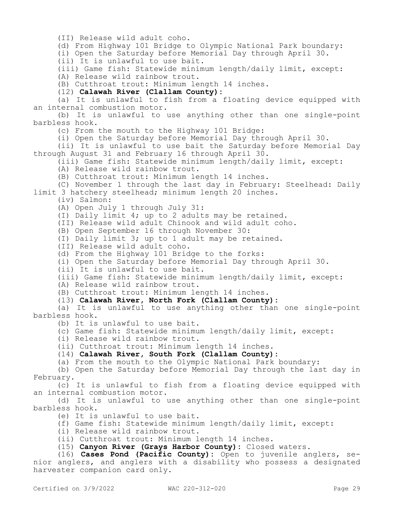(II) Release wild adult coho.

(d) From Highway 101 Bridge to Olympic National Park boundary:

(i) Open the Saturday before Memorial Day through April 30.

(ii) It is unlawful to use bait.

(iii) Game fish: Statewide minimum length/daily limit, except:

(A) Release wild rainbow trout.

(B) Cutthroat trout: Minimum length 14 inches.

(12) **Calawah River (Clallam County):**

(a) It is unlawful to fish from a floating device equipped with an internal combustion motor.

(b) It is unlawful to use anything other than one single-point barbless hook.

(c) From the mouth to the Highway 101 Bridge:

(i) Open the Saturday before Memorial Day through April 30.

(ii) It is unlawful to use bait the Saturday before Memorial Day through August 31 and February 16 through April 30.

(iii) Game fish: Statewide minimum length/daily limit, except:

(A) Release wild rainbow trout.

(B) Cutthroat trout: Minimum length 14 inches.

(C) November 1 through the last day in February: Steelhead: Daily limit 3 hatchery steelhead; minimum length 20 inches.

(iv) Salmon:

(A) Open July 1 through July 31:

(I) Daily limit 4; up to 2 adults may be retained.

(II) Release wild adult Chinook and wild adult coho.

(B) Open September 16 through November 30:

(I) Daily limit 3; up to 1 adult may be retained.

(II) Release wild adult coho.

(d) From the Highway 101 Bridge to the forks:

(i) Open the Saturday before Memorial Day through April 30.

(ii) It is unlawful to use bait.

(iii) Game fish: Statewide minimum length/daily limit, except:

(A) Release wild rainbow trout.

(B) Cutthroat trout: Minimum length 14 inches.

(13) **Calawah River, North Fork (Clallam County):**

(a) It is unlawful to use anything other than one single-point barbless hook.

(b) It is unlawful to use bait.

(c) Game fish: Statewide minimum length/daily limit, except:

(i) Release wild rainbow trout.

(ii) Cutthroat trout: Minimum length 14 inches.

(14) **Calawah River, South Fork (Clallam County):**

(a) From the mouth to the Olympic National Park boundary:

(b) Open the Saturday before Memorial Day through the last day in February.

(c) It is unlawful to fish from a floating device equipped with an internal combustion motor.

(d) It is unlawful to use anything other than one single-point barbless hook.

(e) It is unlawful to use bait.

(f) Game fish: Statewide minimum length/daily limit, except:

(i) Release wild rainbow trout.

(ii) Cutthroat trout: Minimum length 14 inches.

(15) **Canyon River (Grays Harbor County):** Closed waters.

(16) **Cases Pond (Pacific County):** Open to juvenile anglers, senior anglers, and anglers with a disability who possess a designated harvester companion card only.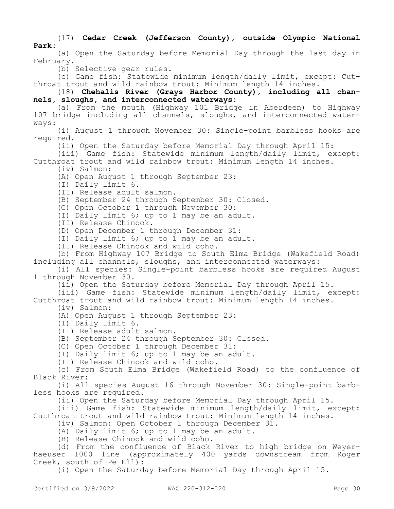### (17) **Cedar Creek (Jefferson County), outside Olympic National Park:**

(a) Open the Saturday before Memorial Day through the last day in February.

(b) Selective gear rules.

(c) Game fish: Statewide minimum length/daily limit, except: Cutthroat trout and wild rainbow trout: Minimum length 14 inches.

(18) **Chehalis River (Grays Harbor County), including all channels, sloughs, and interconnected waterways:**

(a) From the mouth (Highway 101 Bridge in Aberdeen) to Highway 107 bridge including all channels, sloughs, and interconnected waterways:

(i) August 1 through November 30: Single-point barbless hooks are required.

(ii) Open the Saturday before Memorial Day through April 15:

(iii) Game fish: Statewide minimum length/daily limit, except: Cutthroat trout and wild rainbow trout: Minimum length 14 inches.

(iv) Salmon:

(A) Open August 1 through September 23:

(I) Daily limit 6.

(II) Release adult salmon.

(B) September 24 through September 30: Closed.

(C) Open October 1 through November 30:

(I) Daily limit 6; up to 1 may be an adult.

(II) Release Chinook.

(D) Open December 1 through December 31:

(I) Daily limit 6; up to 1 may be an adult.

(II) Release Chinook and wild coho.

(b) From Highway 107 Bridge to South Elma Bridge (Wakefield Road) including all channels, sloughs, and interconnected waterways:

(i) All species: Single-point barbless hooks are required August 1 through November 30.

(ii) Open the Saturday before Memorial Day through April 15.

(iii) Game fish: Statewide minimum length/daily limit, except: Cutthroat trout and wild rainbow trout: Minimum length 14 inches.

(iv) Salmon:

(A) Open August 1 through September 23:

(I) Daily limit 6.

(II) Release adult salmon.

(B) September 24 through September 30: Closed.

(C) Open October 1 through December 31:

(I) Daily limit 6; up to 1 may be an adult.

(II) Release Chinook and wild coho.

(c) From South Elma Bridge (Wakefield Road) to the confluence of Black River:

(i) All species August 16 through November 30: Single-point barbless hooks are required.

(ii) Open the Saturday before Memorial Day through April 15.

(iii) Game fish: Statewide minimum length/daily limit, except: Cutthroat trout and wild rainbow trout: Minimum length 14 inches.

(iv) Salmon: Open October 1 through December 31.

(A) Daily limit 6; up to 1 may be an adult.

(B) Release Chinook and wild coho.

(d) From the confluence of Black River to high bridge on Weyerhaeuser 1000 line (approximately 400 yards downstream from Roger Creek, south of Pe Ell):

(i) Open the Saturday before Memorial Day through April 15.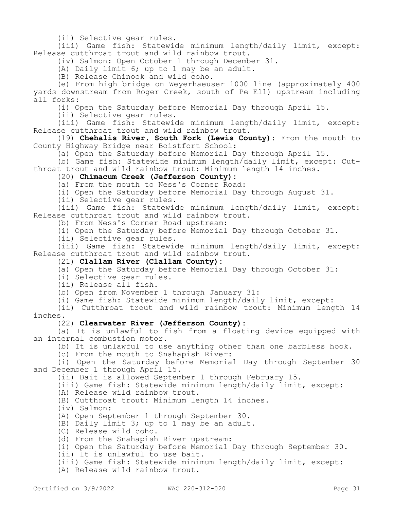(ii) Selective gear rules.

(iii) Game fish: Statewide minimum length/daily limit, except: Release cutthroat trout and wild rainbow trout.

(iv) Salmon: Open October 1 through December 31.

(A) Daily limit 6; up to 1 may be an adult.

(B) Release Chinook and wild coho.

(e) From high bridge on Weyerhaeuser 1000 line (approximately 400 yards downstream from Roger Creek, south of Pe Ell) upstream including all forks:

(i) Open the Saturday before Memorial Day through April 15.

(ii) Selective gear rules.

(iii) Game fish: Statewide minimum length/daily limit, except: Release cutthroat trout and wild rainbow trout.

(19) **Chehalis River, South Fork (Lewis County):** From the mouth to County Highway Bridge near Boistfort School:

(a) Open the Saturday before Memorial Day through April 15.

(b) Game fish: Statewide minimum length/daily limit, except: Cutthroat trout and wild rainbow trout: Minimum length 14 inches.

(20) **Chimacum Creek (Jefferson County):**

(a) From the mouth to Ness's Corner Road:

(i) Open the Saturday before Memorial Day through August 31.

(ii) Selective gear rules.

(iii) Game fish: Statewide minimum length/daily limit, except: Release cutthroat trout and wild rainbow trout.

(b) From Ness's Corner Road upstream:

(i) Open the Saturday before Memorial Day through October 31.

(ii) Selective gear rules.

(iii) Game fish: Statewide minimum length/daily limit, except: Release cutthroat trout and wild rainbow trout.

(21) **Clallam River (Clallam County):**

(a) Open the Saturday before Memorial Day through October 31:

(i) Selective gear rules.

(ii) Release all fish.

(b) Open from November 1 through January 31:

(i) Game fish: Statewide minimum length/daily limit, except:

(ii) Cutthroat trout and wild rainbow trout: Minimum length 14 inches.

### (22) **Clearwater River (Jefferson County):**

(a) It is unlawful to fish from a floating device equipped with an internal combustion motor.

(b) It is unlawful to use anything other than one barbless hook.

(c) From the mouth to Snahapish River:

(i) Open the Saturday before Memorial Day through September 30 and December 1 through April 15.

(ii) Bait is allowed September 1 through February 15.

(iii) Game fish: Statewide minimum length/daily limit, except:

(A) Release wild rainbow trout.

(B) Cutthroat trout: Minimum length 14 inches.

(iv) Salmon:

(A) Open September 1 through September 30.

(B) Daily limit 3; up to 1 may be an adult.

(C) Release wild coho.

(d) From the Snahapish River upstream:

(i) Open the Saturday before Memorial Day through September 30.

(ii) It is unlawful to use bait.

(iii) Game fish: Statewide minimum length/daily limit, except:

(A) Release wild rainbow trout.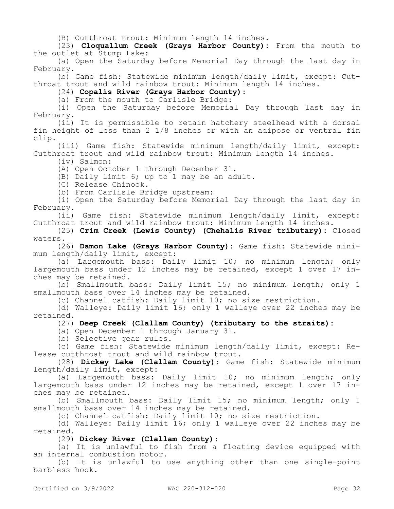(B) Cutthroat trout: Minimum length 14 inches.

(23) **Cloquallum Creek (Grays Harbor County):** From the mouth to the outlet at Stump Lake:

(a) Open the Saturday before Memorial Day through the last day in February.

(b) Game fish: Statewide minimum length/daily limit, except: Cutthroat trout and wild rainbow trout: Minimum length 14 inches.

(24) **Copalis River (Grays Harbor County):**

(a) From the mouth to Carlisle Bridge:

(i) Open the Saturday before Memorial Day through last day in February.

(ii) It is permissible to retain hatchery steelhead with a dorsal fin height of less than 2 1/8 inches or with an adipose or ventral fin clip.

(iii) Game fish: Statewide minimum length/daily limit, except: Cutthroat trout and wild rainbow trout: Minimum length 14 inches.

(iv) Salmon:

(A) Open October 1 through December 31.

(B) Daily limit 6; up to 1 may be an adult.

(C) Release Chinook.

(b) From Carlisle Bridge upstream:

(i) Open the Saturday before Memorial Day through the last day in February.

(ii) Game fish: Statewide minimum length/daily limit, except: Cutthroat trout and wild rainbow trout: Minimum length 14 inches.

(25) **Crim Creek (Lewis County) (Chehalis River tributary):** Closed waters.

(26) **Damon Lake (Grays Harbor County):** Game fish: Statewide minimum length/daily limit, except:

(a) Largemouth bass: Daily limit 10; no minimum length; only largemouth bass under 12 inches may be retained, except 1 over 17 inches may be retained.

(b) Smallmouth bass: Daily limit 15; no minimum length; only 1 smallmouth bass over 14 inches may be retained.

(c) Channel catfish: Daily limit 10; no size restriction.

(d) Walleye: Daily limit 16; only 1 walleye over 22 inches may be retained.

(27) **Deep Creek (Clallam County) (tributary to the straits):**

(a) Open December 1 through January 31.

(b) Selective gear rules.

(c) Game fish: Statewide minimum length/daily limit, except: Release cutthroat trout and wild rainbow trout.

(28) **Dickey Lake (Clallam County):** Game fish: Statewide minimum length/daily limit, except:

(a) Largemouth bass: Daily limit 10; no minimum length; only largemouth bass under 12 inches may be retained, except 1 over 17 inches may be retained.

(b) Smallmouth bass: Daily limit 15; no minimum length; only 1 smallmouth bass over 14 inches may be retained.

(c) Channel catfish: Daily limit 10; no size restriction.

(d) Walleye: Daily limit 16; only 1 walleye over 22 inches may be retained.

(29) **Dickey River (Clallam County):**

(a) It is unlawful to fish from a floating device equipped with an internal combustion motor.

(b) It is unlawful to use anything other than one single-point barbless hook.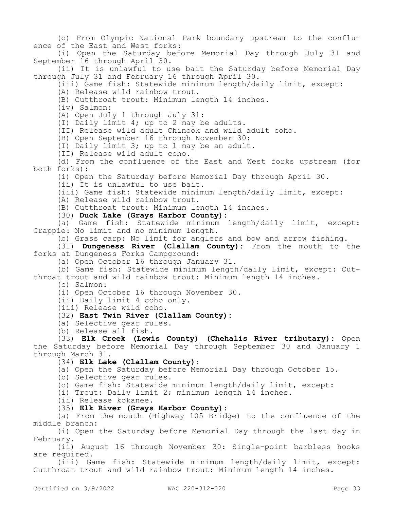(c) From Olympic National Park boundary upstream to the confluence of the East and West forks:

(i) Open the Saturday before Memorial Day through July 31 and September 16 through April 30.

(ii) It is unlawful to use bait the Saturday before Memorial Day through July 31 and February 16 through April 30.

(iii) Game fish: Statewide minimum length/daily limit, except:

(A) Release wild rainbow trout.

(B) Cutthroat trout: Minimum length 14 inches.

(iv) Salmon:

(A) Open July 1 through July 31:

(I) Daily limit 4; up to 2 may be adults.

(II) Release wild adult Chinook and wild adult coho.

(B) Open September 16 through November 30:

(I) Daily limit 3; up to 1 may be an adult.

(II) Release wild adult coho.

(d) From the confluence of the East and West forks upstream (for both forks):

(i) Open the Saturday before Memorial Day through April 30.

(ii) It is unlawful to use bait.

(iii) Game fish: Statewide minimum length/daily limit, except:

(A) Release wild rainbow trout.

(B) Cutthroat trout: Minimum length 14 inches.

(30) **Duck Lake (Grays Harbor County):**

(a) Game fish: Statewide minimum length/daily limit, except: Crappie: No limit and no minimum length.

(b) Grass carp: No limit for anglers and bow and arrow fishing.

(31) **Dungeness River (Clallam County):** From the mouth to the forks at Dungeness Forks Campground:

(a) Open October 16 through January 31.

(b) Game fish: Statewide minimum length/daily limit, except: Cutthroat trout and wild rainbow trout: Minimum length 14 inches.

(c) Salmon:

(i) Open October 16 through November 30.

(ii) Daily limit 4 coho only.

(iii) Release wild coho.

#### (32) **East Twin River (Clallam County):**

(a) Selective gear rules.

(b) Release all fish.

(33) **Elk Creek (Lewis County) (Chehalis River tributary):** Open the Saturday before Memorial Day through September 30 and January 1 through March 31.

(34) **Elk Lake (Clallam County):**

(a) Open the Saturday before Memorial Day through October 15.

(b) Selective gear rules.

(c) Game fish: Statewide minimum length/daily limit, except:

(i) Trout: Daily limit 2; minimum length 14 inches.

(ii) Release kokanee.

### (35) **Elk River (Grays Harbor County):**

(a) From the mouth (Highway 105 Bridge) to the confluence of the middle branch:

(i) Open the Saturday before Memorial Day through the last day in February.

(ii) August 16 through November 30: Single-point barbless hooks are required.

(iii) Game fish: Statewide minimum length/daily limit, except: Cutthroat trout and wild rainbow trout: Minimum length 14 inches.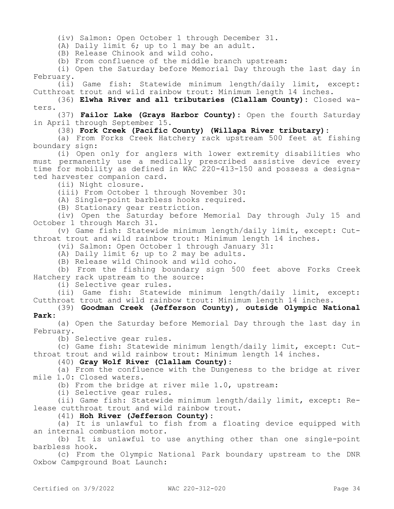(iv) Salmon: Open October 1 through December 31.

(A) Daily limit 6; up to 1 may be an adult.

(B) Release Chinook and wild coho.

(b) From confluence of the middle branch upstream:

(i) Open the Saturday before Memorial Day through the last day in February.

(ii) Game fish: Statewide minimum length/daily limit, except: Cutthroat trout and wild rainbow trout: Minimum length 14 inches.

(36) **Elwha River and all tributaries (Clallam County):** Closed waters.

(37) **Failor Lake (Grays Harbor County):** Open the fourth Saturday in April through September 15.

#### (38) **Fork Creek (Pacific County) (Willapa River tributary):**

(a) From Forks Creek Hatchery rack upstream 500 feet at fishing boundary sign:

(i) Open only for anglers with lower extremity disabilities who must permanently use a medically prescribed assistive device every time for mobility as defined in WAC 220-413-150 and possess a designated harvester companion card.

(ii) Night closure.

(iii) From October 1 through November 30:

(A) Single-point barbless hooks required.

(B) Stationary gear restriction.

(iv) Open the Saturday before Memorial Day through July 15 and October 1 through March 31.

(v) Game fish: Statewide minimum length/daily limit, except: Cutthroat trout and wild rainbow trout: Minimum length 14 inches.

(vi) Salmon: Open October 1 through January 31:

(A) Daily limit 6; up to 2 may be adults.

(B) Release wild Chinook and wild coho.

(b) From the fishing boundary sign 500 feet above Forks Creek Hatchery rack upstream to the source:

(i) Selective gear rules.

(ii) Game fish: Statewide minimum length/daily limit, except: Cutthroat trout and wild rainbow trout: Minimum length 14 inches.

(39) **Goodman Creek (Jefferson County), outside Olympic National Park:**

(a) Open the Saturday before Memorial Day through the last day in February.

(b) Selective gear rules.

(c) Game fish: Statewide minimum length/daily limit, except: Cutthroat trout and wild rainbow trout: Minimum length 14 inches.

(40) **Gray Wolf River (Clallam County):**

(a) From the confluence with the Dungeness to the bridge at river mile 1.0: Closed waters.

(b) From the bridge at river mile 1.0, upstream:

(i) Selective gear rules.

(ii) Game fish: Statewide minimum length/daily limit, except: Release cutthroat trout and wild rainbow trout.

(41) **Hoh River (Jefferson County):**

(a) It is unlawful to fish from a floating device equipped with an internal combustion motor.

(b) It is unlawful to use anything other than one single-point barbless hook.

(c) From the Olympic National Park boundary upstream to the DNR Oxbow Campground Boat Launch: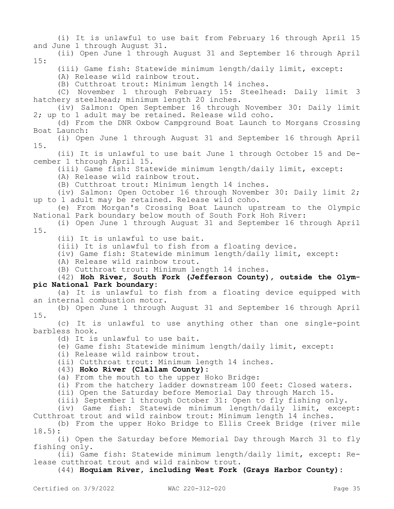(i) It is unlawful to use bait from February 16 through April 15 and June 1 through August 31.

(ii) Open June 1 through August 31 and September 16 through April 15:

(iii) Game fish: Statewide minimum length/daily limit, except:

(A) Release wild rainbow trout.

(B) Cutthroat trout: Minimum length 14 inches.

(C) November 1 through February 15: Steelhead: Daily limit 3 hatchery steelhead; minimum length 20 inches.

(iv) Salmon: Open September 16 through November 30: Daily limit 2; up to 1 adult may be retained. Release wild coho.

(d) From the DNR Oxbow Campground Boat Launch to Morgans Crossing Boat Launch:

(i) Open June 1 through August 31 and September 16 through April 15.

(ii) It is unlawful to use bait June 1 through October 15 and December 1 through April 15.

(iii) Game fish: Statewide minimum length/daily limit, except:

(A) Release wild rainbow trout.

(B) Cutthroat trout: Minimum length 14 inches.

(iv) Salmon: Open October 16 through November 30: Daily limit 2; up to 1 adult may be retained. Release wild coho.

(e) From Morgan's Crossing Boat Launch upstream to the Olympic National Park boundary below mouth of South Fork Hoh River:

(i) Open June 1 through August 31 and September 16 through April 15.

(ii) It is unlawful to use bait.

(iii) It is unlawful to fish from a floating device.

(iv) Game fish: Statewide minimum length/daily limit, except:

(A) Release wild rainbow trout.

(B) Cutthroat trout: Minimum length 14 inches.

(42) **Hoh River, South Fork (Jefferson County), outside the Olympic National Park boundary:**

(a) It is unlawful to fish from a floating device equipped with an internal combustion motor.

(b) Open June 1 through August 31 and September 16 through April 15.

(c) It is unlawful to use anything other than one single-point barbless hook.

(d) It is unlawful to use bait.

(e) Game fish: Statewide minimum length/daily limit, except:

(i) Release wild rainbow trout.

(ii) Cutthroat trout: Minimum length 14 inches.

### (43) **Hoko River (Clallam County):**

(a) From the mouth to the upper Hoko Bridge:

(i) From the hatchery ladder downstream 100 feet: Closed waters.

(ii) Open the Saturday before Memorial Day through March 15.

(iii) September 1 through October 31: Open to fly fishing only.

(iv) Game fish: Statewide minimum length/daily limit, except: Cutthroat trout and wild rainbow trout: Minimum length 14 inches.

(b) From the upper Hoko Bridge to Ellis Creek Bridge (river mile 18.5):

(i) Open the Saturday before Memorial Day through March 31 to fly fishing only.

(ii) Game fish: Statewide minimum length/daily limit, except: Release cutthroat trout and wild rainbow trout.

(44) **Hoquiam River, including West Fork (Grays Harbor County):**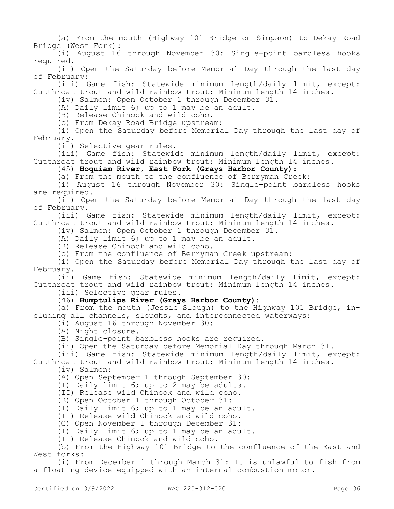(a) From the mouth (Highway 101 Bridge on Simpson) to Dekay Road Bridge (West Fork):

(i) August 16 through November 30: Single-point barbless hooks required.

(ii) Open the Saturday before Memorial Day through the last day of February:

(iii) Game fish: Statewide minimum length/daily limit, except: Cutthroat trout and wild rainbow trout: Minimum length 14 inches.

(iv) Salmon: Open October 1 through December 31.

(A) Daily limit 6; up to 1 may be an adult.

(B) Release Chinook and wild coho.

(b) From Dekay Road Bridge upstream:

(i) Open the Saturday before Memorial Day through the last day of February.

(ii) Selective gear rules.

(iii) Game fish: Statewide minimum length/daily limit, except: Cutthroat trout and wild rainbow trout: Minimum length 14 inches.

### (45) **Hoquiam River, East Fork (Grays Harbor County):**

(a) From the mouth to the confluence of Berryman Creek:

(i) August 16 through November 30: Single-point barbless hooks are required.

(ii) Open the Saturday before Memorial Day through the last day of February.

(iii) Game fish: Statewide minimum length/daily limit, except: Cutthroat trout and wild rainbow trout: Minimum length 14 inches.

(iv) Salmon: Open October 1 through December 31.

(A) Daily limit 6; up to 1 may be an adult.

(B) Release Chinook and wild coho.

(b) From the confluence of Berryman Creek upstream:

(i) Open the Saturday before Memorial Day through the last day of February.

(ii) Game fish: Statewide minimum length/daily limit, except: Cutthroat trout and wild rainbow trout: Minimum length 14 inches.

(iii) Selective gear rules.

#### (46) **Humptulips River (Grays Harbor County):**

(a) From the mouth (Jessie Slough) to the Highway 101 Bridge, including all channels, sloughs, and interconnected waterways:

(i) August 16 through November 30:

(A) Night closure.

(B) Single-point barbless hooks are required.

(ii) Open the Saturday before Memorial Day through March 31.

(iii) Game fish: Statewide minimum length/daily limit, except: Cutthroat trout and wild rainbow trout: Minimum length 14 inches.

(iv) Salmon:

(A) Open September 1 through September 30:

(I) Daily limit 6; up to 2 may be adults.

(II) Release wild Chinook and wild coho.

(B) Open October 1 through October 31:

(I) Daily limit 6; up to 1 may be an adult.

(II) Release wild Chinook and wild coho.

(C) Open November 1 through December 31:

(I) Daily limit 6; up to 1 may be an adult.

(II) Release Chinook and wild coho.

(b) From the Highway 101 Bridge to the confluence of the East and West forks:

(i) From December 1 through March 31: It is unlawful to fish from a floating device equipped with an internal combustion motor.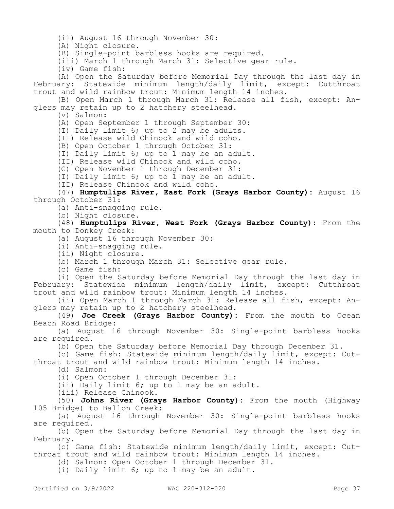(ii) August 16 through November 30:

(A) Night closure.

(B) Single-point barbless hooks are required.

(iii) March 1 through March 31: Selective gear rule.

(iv) Game fish:

(A) Open the Saturday before Memorial Day through the last day in February: Statewide minimum length/daily limit, except: Cutthroat trout and wild rainbow trout: Minimum length 14 inches.

(B) Open March 1 through March 31: Release all fish, except: Anglers may retain up to 2 hatchery steelhead.

(v) Salmon:

(A) Open September 1 through September 30:

(I) Daily limit 6; up to 2 may be adults.

(II) Release wild Chinook and wild coho.

(B) Open October 1 through October 31:

(I) Daily limit 6; up to 1 may be an adult.

(II) Release wild Chinook and wild coho.

(C) Open November 1 through December 31:

(I) Daily limit 6; up to 1 may be an adult.

(II) Release Chinook and wild coho.

(47) **Humptulips River, East Fork (Grays Harbor County):** August 16 through October 31:

(a) Anti-snagging rule.

(b) Night closure.

(48) **Humptulips River, West Fork (Grays Harbor County):** From the mouth to Donkey Creek:

(a) August 16 through November 30:

(i) Anti-snagging rule.

(ii) Night closure.

(b) March 1 through March 31: Selective gear rule.

(c) Game fish:

(i) Open the Saturday before Memorial Day through the last day in February: Statewide minimum length/daily limit, except: Cutthroat trout and wild rainbow trout: Minimum length 14 inches.

(ii) Open March 1 through March 31: Release all fish, except: Anglers may retain up to 2 hatchery steelhead.

(49) **Joe Creek (Grays Harbor County):** From the mouth to Ocean Beach Road Bridge:

(a) August 16 through November 30: Single-point barbless hooks are required.

(b) Open the Saturday before Memorial Day through December 31.

(c) Game fish: Statewide minimum length/daily limit, except: Cutthroat trout and wild rainbow trout: Minimum length 14 inches.

(d) Salmon:

(i) Open October 1 through December 31:

(ii) Daily limit 6; up to 1 may be an adult.

(iii) Release Chinook.

(50) **Johns River (Grays Harbor County):** From the mouth (Highway 105 Bridge) to Ballon Creek:

(a) August 16 through November 30: Single-point barbless hooks are required.

(b) Open the Saturday before Memorial Day through the last day in February.

(c) Game fish: Statewide minimum length/daily limit, except: Cutthroat trout and wild rainbow trout: Minimum length 14 inches.

(d) Salmon: Open October 1 through December 31.

(i) Daily limit 6; up to 1 may be an adult.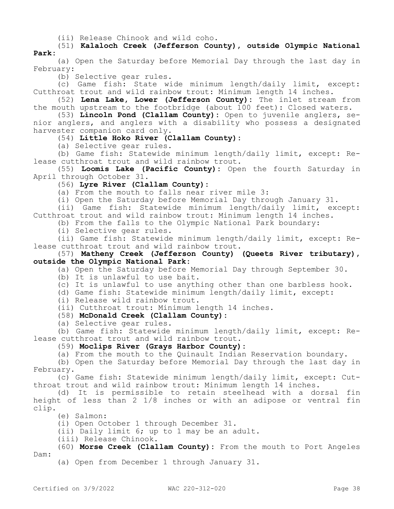(ii) Release Chinook and wild coho.

(51) **Kalaloch Creek (Jefferson County), outside Olympic National Park:**

(a) Open the Saturday before Memorial Day through the last day in February:

(b) Selective gear rules.

(c) Game fish: State wide minimum length/daily limit, except: Cutthroat trout and wild rainbow trout: Minimum length 14 inches.

(52) **Lena Lake, Lower (Jefferson County):** The inlet stream from the mouth upstream to the footbridge (about 100 feet): Closed waters.

(53) **Lincoln Pond (Clallam County):** Open to juvenile anglers, senior anglers, and anglers with a disability who possess a designated harvester companion card only.

(54) **Little Hoko River (Clallam County):**

(a) Selective gear rules.

(b) Game fish: Statewide minimum length/daily limit, except: Release cutthroat trout and wild rainbow trout.

(55) **Loomis Lake (Pacific County):** Open the fourth Saturday in April through October 31.

(56) **Lyre River (Clallam County):**

(a) From the mouth to falls near river mile 3:

(i) Open the Saturday before Memorial Day through January 31.

(ii) Game fish: Statewide minimum length/daily limit, except: Cutthroat trout and wild rainbow trout: Minimum length 14 inches.

(b) From the falls to the Olympic National Park boundary:

(i) Selective gear rules.

(ii) Game fish: Statewide minimum length/daily limit, except: Release cutthroat trout and wild rainbow trout.

(57) **Matheny Creek (Jefferson County) (Queets River tributary), outside the Olympic National Park:**

(a) Open the Saturday before Memorial Day through September 30.

(b) It is unlawful to use bait.

(c) It is unlawful to use anything other than one barbless hook.

(d) Game fish: Statewide minimum length/daily limit, except:

(i) Release wild rainbow trout.

(ii) Cutthroat trout: Minimum length 14 inches.

# (58) **McDonald Creek (Clallam County):**

(a) Selective gear rules.

(b) Game fish: Statewide minimum length/daily limit, except: Release cutthroat trout and wild rainbow trout.

(59) **Moclips River (Grays Harbor County):**

(a) From the mouth to the Quinault Indian Reservation boundary.

(b) Open the Saturday before Memorial Day through the last day in February.

(c) Game fish: Statewide minimum length/daily limit, except: Cutthroat trout and wild rainbow trout: Minimum length 14 inches.

(d) It is permissible to retain steelhead with a dorsal fin height of less than 2 1/8 inches or with an adipose or ventral fin clip.

(e) Salmon:

(i) Open October 1 through December 31.

(ii) Daily limit 6; up to 1 may be an adult.

(iii) Release Chinook.

(60) **Morse Creek (Clallam County):** From the mouth to Port Angeles Dam:

(a) Open from December 1 through January 31.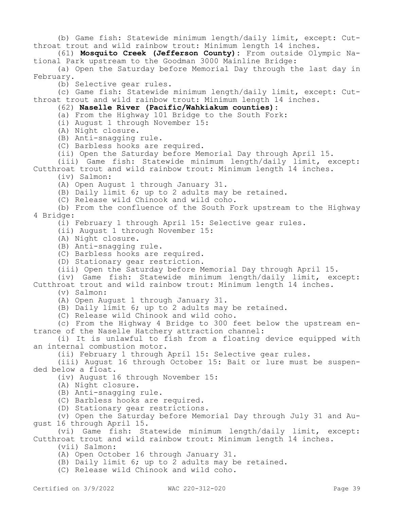(b) Game fish: Statewide minimum length/daily limit, except: Cutthroat trout and wild rainbow trout: Minimum length 14 inches.

(61) **Mosquito Creek (Jefferson County):** From outside Olympic National Park upstream to the Goodman 3000 Mainline Bridge:

(a) Open the Saturday before Memorial Day through the last day in February.

(b) Selective gear rules.

(c) Game fish: Statewide minimum length/daily limit, except: Cutthroat trout and wild rainbow trout: Minimum length 14 inches.

## (62) **Naselle River (Pacific/Wahkiakum counties):**

- (a) From the Highway 101 Bridge to the South Fork:
- (i) August 1 through November 15:
- (A) Night closure.
- (B) Anti-snagging rule.
- (C) Barbless hooks are required.
- (ii) Open the Saturday before Memorial Day through April 15.

(iii) Game fish: Statewide minimum length/daily limit, except: Cutthroat trout and wild rainbow trout: Minimum length 14 inches.

(iv) Salmon:

- (A) Open August 1 through January 31.
- (B) Daily limit 6; up to 2 adults may be retained.
- (C) Release wild Chinook and wild coho.

(b) From the confluence of the South Fork upstream to the Highway 4 Bridge:

(i) February 1 through April 15: Selective gear rules.

- (ii) August 1 through November 15:
- (A) Night closure.
- (B) Anti-snagging rule.
- (C) Barbless hooks are required.
- (D) Stationary gear restriction.
- (iii) Open the Saturday before Memorial Day through April 15.

(iv) Game fish: Statewide minimum length/daily limit, except: Cutthroat trout and wild rainbow trout: Minimum length 14 inches.

(v) Salmon:

(A) Open August 1 through January 31.

(B) Daily limit 6; up to 2 adults may be retained.

(C) Release wild Chinook and wild coho.

(c) From the Highway 4 Bridge to 300 feet below the upstream entrance of the Naselle Hatchery attraction channel:

(i) It is unlawful to fish from a floating device equipped with an internal combustion motor.

(ii) February 1 through April 15: Selective gear rules.

(iii) August 16 through October 15: Bait or lure must be suspended below a float.

(iv) August 16 through November 15:

- (A) Night closure.
- (B) Anti-snagging rule.
- (C) Barbless hooks are required.
- (D) Stationary gear restrictions.

(v) Open the Saturday before Memorial Day through July 31 and August 16 through April 15.

(vi) Game fish: Statewide minimum length/daily limit, except: Cutthroat trout and wild rainbow trout: Minimum length 14 inches.

(vii) Salmon:

- (A) Open October 16 through January 31.
- (B) Daily limit 6; up to 2 adults may be retained.
- (C) Release wild Chinook and wild coho.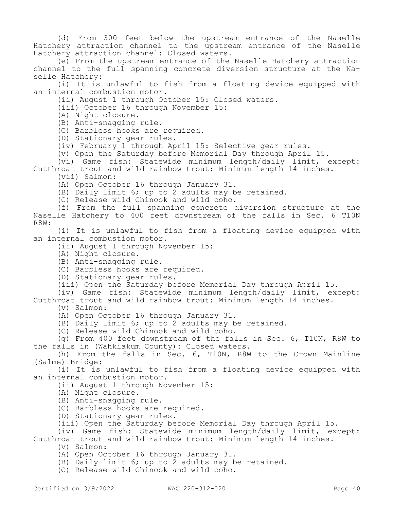(d) From 300 feet below the upstream entrance of the Naselle Hatchery attraction channel to the upstream entrance of the Naselle Hatchery attraction channel: Closed waters.

(e) From the upstream entrance of the Naselle Hatchery attraction channel to the full spanning concrete diversion structure at the Naselle Hatchery:

(i) It is unlawful to fish from a floating device equipped with an internal combustion motor.

(ii) August 1 through October 15: Closed waters.

(iii) October 16 through November 15:

- (A) Night closure.
- (B) Anti-snagging rule.
- (C) Barbless hooks are required.
- (D) Stationary gear rules.
- (iv) February 1 through April 15: Selective gear rules.
- (v) Open the Saturday before Memorial Day through April 15.

(vi) Game fish: Statewide minimum length/daily limit, except: Cutthroat trout and wild rainbow trout: Minimum length 14 inches.

(vii) Salmon:

(A) Open October 16 through January 31.

(B) Daily limit 6; up to 2 adults may be retained.

(C) Release wild Chinook and wild coho.

(f) From the full spanning concrete diversion structure at the Naselle Hatchery to 400 feet downstream of the falls in Sec. 6 T10N R8W:

(i) It is unlawful to fish from a floating device equipped with an internal combustion motor.

(ii) August 1 through November 15:

- (A) Night closure.
- (B) Anti-snagging rule.
- (C) Barbless hooks are required.
- (D) Stationary gear rules.

(iii) Open the Saturday before Memorial Day through April 15.

(iv) Game fish: Statewide minimum length/daily limit, except: Cutthroat trout and wild rainbow trout: Minimum length 14 inches.

- (v) Salmon:
- (A) Open October 16 through January 31.
- (B) Daily limit 6; up to 2 adults may be retained.
- (C) Release wild Chinook and wild coho.

(g) From 400 feet downstream of the falls in Sec. 6, T10N, R8W to the falls in (Wahkiakum County): Closed waters.

(h) From the falls in Sec. 6, T10N, R8W to the Crown Mainline (Salme) Bridge:

(i) It is unlawful to fish from a floating device equipped with an internal combustion motor.

(ii) August 1 through November 15:

- (A) Night closure.
- (B) Anti-snagging rule.
- (C) Barbless hooks are required.
- (D) Stationary gear rules.
- (iii) Open the Saturday before Memorial Day through April 15.

(iv) Game fish: Statewide minimum length/daily limit, except: Cutthroat trout and wild rainbow trout: Minimum length 14 inches.

- (v) Salmon:
- (A) Open October 16 through January 31.
- (B) Daily limit 6; up to 2 adults may be retained.
- (C) Release wild Chinook and wild coho.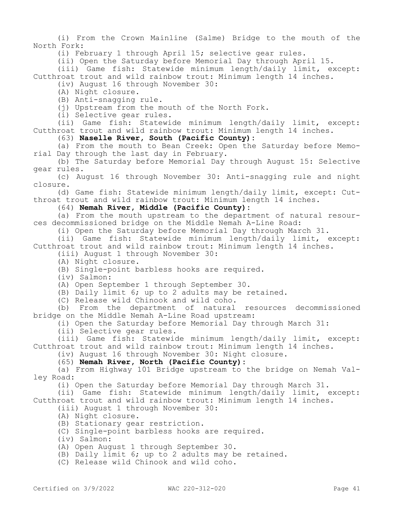(i) From the Crown Mainline (Salme) Bridge to the mouth of the North Fork:

(i) February 1 through April 15; selective gear rules.

(ii) Open the Saturday before Memorial Day through April 15.

(iii) Game fish: Statewide minimum length/daily limit, except: Cutthroat trout and wild rainbow trout: Minimum length 14 inches.

(iv) August 16 through November 30:

(A) Night closure.

(B) Anti-snagging rule.

(i) Upstream from the mouth of the North Fork.

(i) Selective gear rules.

(ii) Game fish: Statewide minimum length/daily limit, except: Cutthroat trout and wild rainbow trout: Minimum length 14 inches.

(63) **Naselle River, South (Pacific County):**

(a) From the mouth to Bean Creek: Open the Saturday before Memorial Day through the last day in February.

(b) The Saturday before Memorial Day through August 15: Selective gear rules.

(c) August 16 through November 30: Anti-snagging rule and night closure.

(d) Game fish: Statewide minimum length/daily limit, except: Cutthroat trout and wild rainbow trout: Minimum length 14 inches.

### (64) **Nemah River, Middle (Pacific County):**

(a) From the mouth upstream to the department of natural resources decommissioned bridge on the Middle Nemah A-Line Road:

(i) Open the Saturday before Memorial Day through March 31.

(ii) Game fish: Statewide minimum length/daily limit, except: Cutthroat trout and wild rainbow trout: Minimum length 14 inches.

(iii) August 1 through November 30:

(A) Night closure.

(B) Single-point barbless hooks are required.

(iv) Salmon:

(A) Open September 1 through September 30.

(B) Daily limit 6; up to 2 adults may be retained.

(C) Release wild Chinook and wild coho.

(b) From the department of natural resources decommissioned bridge on the Middle Nemah A-Line Road upstream:

(i) Open the Saturday before Memorial Day through March 31:

(ii) Selective gear rules.

(iii) Game fish: Statewide minimum length/daily limit, except: Cutthroat trout and wild rainbow trout: Minimum length 14 inches.

(iv) August 16 through November 30: Night closure.

(65) **Nemah River, North (Pacific County):**

(a) From Highway 101 Bridge upstream to the bridge on Nemah Valley Road:

(i) Open the Saturday before Memorial Day through March 31.

(ii) Game fish: Statewide minimum length/daily limit, except: Cutthroat trout and wild rainbow trout: Minimum length 14 inches.

(iii) August 1 through November 30:

(A) Night closure.

(B) Stationary gear restriction.

(C) Single-point barbless hooks are required.

(iv) Salmon:

(A) Open August 1 through September 30.

(B) Daily limit 6; up to 2 adults may be retained.

(C) Release wild Chinook and wild coho.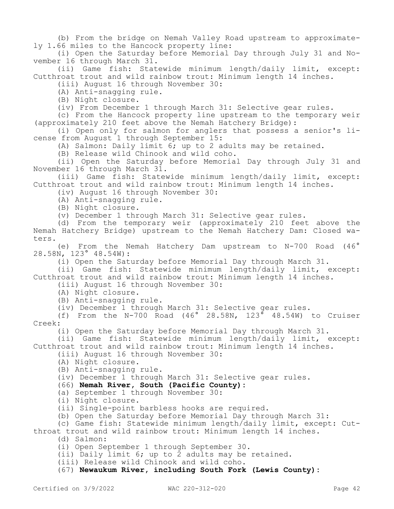(b) From the bridge on Nemah Valley Road upstream to approximately 1.66 miles to the Hancock property line:

(i) Open the Saturday before Memorial Day through July 31 and November 16 through March 31.

(ii) Game fish: Statewide minimum length/daily limit, except: Cutthroat trout and wild rainbow trout: Minimum length 14 inches.

(iii) August 16 through November 30:

(A) Anti-snagging rule.

(B) Night closure.

(iv) From December 1 through March 31: Selective gear rules.

(c) From the Hancock property line upstream to the temporary weir (approximately 210 feet above the Nemah Hatchery Bridge):

(i) Open only for salmon for anglers that possess a senior's license from August 1 through September 15:

(A) Salmon: Daily limit 6; up to 2 adults may be retained.

(B) Release wild Chinook and wild coho.

(ii) Open the Saturday before Memorial Day through July 31 and November 16 through March 31.

(iii) Game fish: Statewide minimum length/daily limit, except: Cutthroat trout and wild rainbow trout: Minimum length 14 inches.

(iv) August 16 through November 30:

(A) Anti-snagging rule.

(B) Night closure.

(v) December 1 through March 31: Selective gear rules.

(d) From the temporary weir (approximately 210 feet above the Nemah Hatchery Bridge) upstream to the Nemah Hatchery Dam: Closed waters.

(e) From the Nemah Hatchery Dam upstream to N-700 Road (46° 28.58N, 123° 48.54W):

(i) Open the Saturday before Memorial Day through March 31.

(ii) Game fish: Statewide minimum length/daily limit, except: Cutthroat trout and wild rainbow trout: Minimum length 14 inches.

(iii) August 16 through November 30:

(A) Night closure.

(B) Anti-snagging rule.

(iv) December 1 through March 31: Selective gear rules.

(f) From the N-700 Road  $(46^\circ$  28.58N, 123<sup> $\sigma$ </sup> 48.54W) to Cruiser Creek:

(i) Open the Saturday before Memorial Day through March 31.

(ii) Game fish: Statewide minimum length/daily limit, except:

Cutthroat trout and wild rainbow trout: Minimum length 14 inches.

(iii) August 16 through November 30:

(A) Night closure.

(B) Anti-snagging rule.

(iv) December 1 through March 31: Selective gear rules.

(66) **Nemah River, South (Pacific County):**

(a) September 1 through November 30:

(i) Night closure.

(ii) Single-point barbless hooks are required.

(b) Open the Saturday before Memorial Day through March 31:

(c) Game fish: Statewide minimum length/daily limit, except: Cut-

throat trout and wild rainbow trout: Minimum length 14 inches.

(d) Salmon:

(i) Open September 1 through September 30.

(ii) Daily limit 6; up to 2 adults may be retained.

(iii) Release wild Chinook and wild coho.

(67) **Newaukum River, including South Fork (Lewis County):**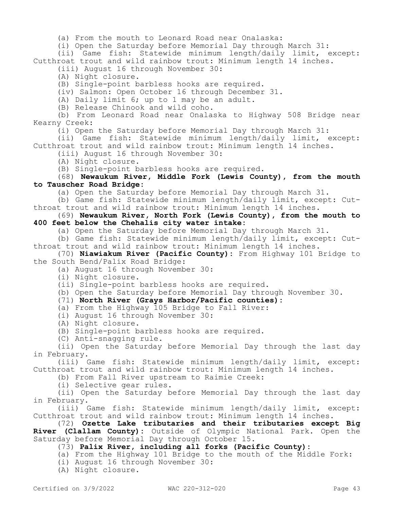(a) From the mouth to Leonard Road near Onalaska:

(i) Open the Saturday before Memorial Day through March 31:

(ii) Game fish: Statewide minimum length/daily limit, except: Cutthroat trout and wild rainbow trout: Minimum length 14 inches.

(iii) August 16 through November 30:

(A) Night closure.

(B) Single-point barbless hooks are required.

(iv) Salmon: Open October 16 through December 31.

(A) Daily limit 6; up to 1 may be an adult.

(B) Release Chinook and wild coho.

(b) From Leonard Road near Onalaska to Highway 508 Bridge near Kearny Creek:

(i) Open the Saturday before Memorial Day through March 31:

(ii) Game fish: Statewide minimum length/daily limit, except: Cutthroat trout and wild rainbow trout: Minimum length 14 inches.

(iii) August 16 through November 30:

(A) Night closure.

(B) Single-point barbless hooks are required.

(68) **Newaukum River, Middle Fork (Lewis County), from the mouth to Tauscher Road Bridge:**

(a) Open the Saturday before Memorial Day through March 31.

(b) Game fish: Statewide minimum length/daily limit, except: Cutthroat trout and wild rainbow trout: Minimum length 14 inches.

(69) **Newaukum River, North Fork (Lewis County), from the mouth to 400 feet below the Chehalis city water intake:**

(a) Open the Saturday before Memorial Day through March 31.

(b) Game fish: Statewide minimum length/daily limit, except: Cutthroat trout and wild rainbow trout: Minimum length 14 inches.

(70) **Niawiakum River (Pacific County):** From Highway 101 Bridge to the South Bend/Palix Road Bridge:

(a) August 16 through November 30:

(i) Night closure.

(ii) Single-point barbless hooks are required.

(b) Open the Saturday before Memorial Day through November 30.

(71) **North River (Grays Harbor/Pacific counties):**

(a) From the Highway 105 Bridge to Fall River:

(i) August 16 through November 30:

(A) Night closure.

(B) Single-point barbless hooks are required.

(C) Anti-snagging rule.

(ii) Open the Saturday before Memorial Day through the last day in February.

(iii) Game fish: Statewide minimum length/daily limit, except: Cutthroat trout and wild rainbow trout: Minimum length 14 inches.

(b) From Fall River upstream to Raimie Creek:

(i) Selective gear rules.

(ii) Open the Saturday before Memorial Day through the last day in February.

(iii) Game fish: Statewide minimum length/daily limit, except: Cutthroat trout and wild rainbow trout: Minimum length 14 inches.

(72) **Ozette Lake tributaries and their tributaries except Big** 

**River (Clallam County):** Outside of Olympic National Park. Open the Saturday before Memorial Day through October 15.

(73) **Palix River, including all forks (Pacific County):**

(a) From the Highway 101 Bridge to the mouth of the Middle Fork:

(i) August 16 through November 30:

(A) Night closure.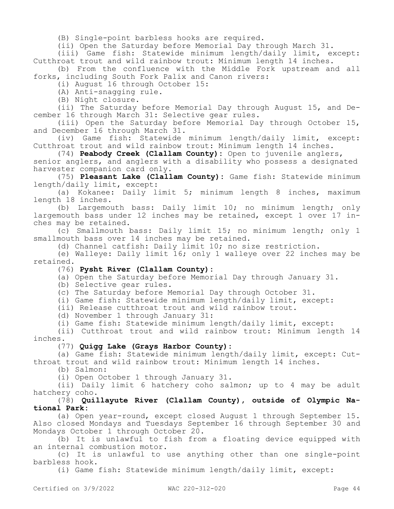(B) Single-point barbless hooks are required.

(ii) Open the Saturday before Memorial Day through March 31.

(iii) Game fish: Statewide minimum length/daily limit, except: Cutthroat trout and wild rainbow trout: Minimum length 14 inches.

(b) From the confluence with the Middle Fork upstream and all forks, including South Fork Palix and Canon rivers:

(i) August 16 through October 15:

(A) Anti-snagging rule.

(B) Night closure.

(ii) The Saturday before Memorial Day through August 15, and December 16 through March 31: Selective gear rules.

(iii) Open the Saturday before Memorial Day through October 15, and December 16 through March 31.

(iv) Game fish: Statewide minimum length/daily limit, except: Cutthroat trout and wild rainbow trout: Minimum length 14 inches.

(74) **Peabody Creek (Clallam County):** Open to juvenile anglers,

senior anglers, and anglers with a disability who possess a designated harvester companion card only.

(75) **Pleasant Lake (Clallam County):** Game fish: Statewide minimum length/daily limit, except:

(a) Kokanee: Daily limit 5; minimum length 8 inches, maximum length 18 inches.

(b) Largemouth bass: Daily limit 10; no minimum length; only largemouth bass under 12 inches may be retained, except 1 over 17 inches may be retained.

(c) Smallmouth bass: Daily limit 15; no minimum length; only 1 smallmouth bass over 14 inches may be retained.

(d) Channel catfish: Daily limit 10; no size restriction.

(e) Walleye: Daily limit 16; only 1 walleye over 22 inches may be retained.

(76) **Pysht River (Clallam County):**

(a) Open the Saturday before Memorial Day through January 31.

(b) Selective gear rules.

(c) The Saturday before Memorial Day through October 31.

(i) Game fish: Statewide minimum length/daily limit, except:

(ii) Release cutthroat trout and wild rainbow trout.

(d) November 1 through January 31:

(i) Game fish: Statewide minimum length/daily limit, except:

(ii) Cutthroat trout and wild rainbow trout: Minimum length 14 inches.

### (77) **Quigg Lake (Grays Harbor County):**

(a) Game fish: Statewide minimum length/daily limit, except: Cutthroat trout and wild rainbow trout: Minimum length 14 inches.

(b) Salmon:

(i) Open October 1 through January 31.

(ii) Daily limit 6 hatchery coho salmon; up to 4 may be adult hatchery coho.

## (78) **Quillayute River (Clallam County), outside of Olympic National Park:**

(a) Open year-round, except closed August 1 through September 15. Also closed Mondays and Tuesdays September 16 through September 30 and Mondays October 1 through October 20.

(b) It is unlawful to fish from a floating device equipped with an internal combustion motor.

(c) It is unlawful to use anything other than one single-point barbless hook.

(i) Game fish: Statewide minimum length/daily limit, except: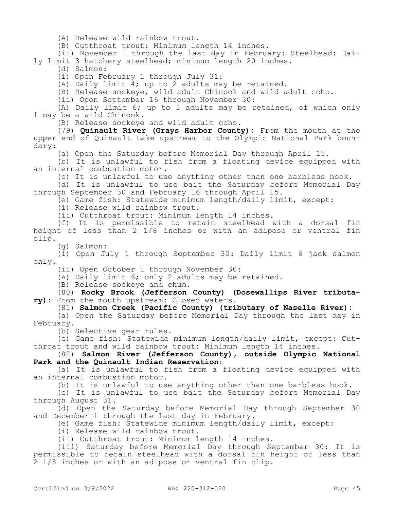(A) Release wild rainbow trout.

(B) Cutthroat trout: Minimum length 14 inches.

(ii) November 1 through the last day in February: Steelhead: Daily limit 3 hatchery steelhead; minimum length 20 inches.

(d) Salmon:

(i) Open February 1 through July 31:

(A) Daily limit 4; up to 2 adults may be retained.

(B) Release sockeye, wild adult Chinook and wild adult coho.

(ii) Open September 16 through November 30:

(A) Daily limit 6; up to 3 adults may be retained, of which only 1 may be a wild Chinook.

(B) Release sockeye and wild adult coho.

(79) **Quinault River (Grays Harbor County):** From the mouth at the upper end of Quinault Lake upstream to the Olympic National Park boundary:

(a) Open the Saturday before Memorial Day through April 15.

(b) It is unlawful to fish from a floating device equipped with an internal combustion motor.

(c) It is unlawful to use anything other than one barbless hook.

(d) It is unlawful to use bait the Saturday before Memorial Day through September 30 and February 16 through April 15.

(e) Game fish: Statewide minimum length/daily limit, except:

(i) Release wild rainbow trout.

(ii) Cutthroat trout: Minimum length 14 inches.

(f) It is permissible to retain steelhead with a dorsal fin height of less than 2 1/8 inches or with an adipose or ventral fin clip.

(g) Salmon:

(i) Open July 1 through September 30: Daily limit 6 jack salmon only.

(ii) Open October 1 through November 30:

(A) Daily limit 6; only 2 adults may be retained.

(B) Release sockeye and chum.

(80) **Rocky Brook (Jefferson County) (Dosewallips River tributary):** From the mouth upstream: Closed waters.

(81) **Salmon Creek (Pacific County) (tributary of Naselle River):**

(a) Open the Saturday before Memorial Day through the last day in February.

(b) Selective gear rules.

(c) Game fish: Statewide minimum length/daily limit, except: Cutthroat trout and wild rainbow trout: Minimum length 14 inches.

(82) **Salmon River (Jefferson County), outside Olympic National Park and the Quinault Indian Reservation:**

(a) It is unlawful to fish from a floating device equipped with an internal combustion motor.

(b) It is unlawful to use anything other than one barbless hook.

(c) It is unlawful to use bait the Saturday before Memorial Day through August 31.

(d) Open the Saturday before Memorial Day through September 30 and December 1 through the last day in February.

(e) Game fish: Statewide minimum length/daily limit, except:

(i) Release wild rainbow trout.

(ii) Cutthroat trout: Minimum length 14 inches.

(iii) Saturday before Memorial Day through September 30: It is permissible to retain steelhead with a dorsal fin height of less than 2 1/8 inches or with an adipose or ventral fin clip.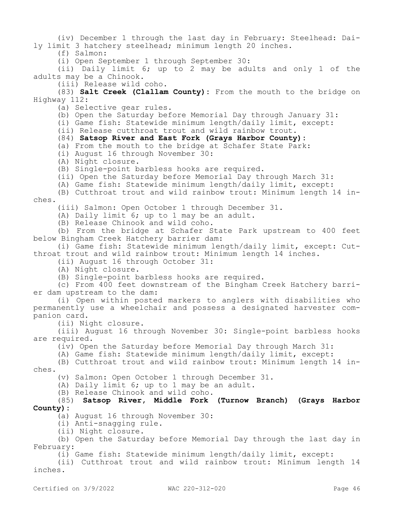(iv) December 1 through the last day in February: Steelhead: Daily limit 3 hatchery steelhead; minimum length 20 inches.

(f) Salmon:

(i) Open September 1 through September 30:

(ii) Daily limit 6; up to 2 may be adults and only 1 of the adults may be a Chinook.

(iii) Release wild coho.

(83) **Salt Creek (Clallam County):** From the mouth to the bridge on Highway 112:

(a) Selective gear rules.

(b) Open the Saturday before Memorial Day through January 31:

(i) Game fish: Statewide minimum length/daily limit, except:

(ii) Release cutthroat trout and wild rainbow trout.

#### (84) **Satsop River and East Fork (Grays Harbor County):**

(a) From the mouth to the bridge at Schafer State Park:

- (i) August 16 through November 30:
- (A) Night closure.

(B) Single-point barbless hooks are required.

(ii) Open the Saturday before Memorial Day through March 31:

(A) Game fish: Statewide minimum length/daily limit, except:

(B) Cutthroat trout and wild rainbow trout: Minimum length 14 inches.

(iii) Salmon: Open October 1 through December 31.

(A) Daily limit 6; up to 1 may be an adult.

(B) Release Chinook and wild coho.

(b) From the bridge at Schafer State Park upstream to 400 feet below Bingham Creek Hatchery barrier dam:

(i) Game fish: Statewide minimum length/daily limit, except: Cutthroat trout and wild rainbow trout: Minimum length 14 inches.

(ii) August 16 through October 31:

(A) Night closure.

(B) Single-point barbless hooks are required.

(c) From 400 feet downstream of the Bingham Creek Hatchery barrier dam upstream to the dam:

(i) Open within posted markers to anglers with disabilities who permanently use a wheelchair and possess a designated harvester companion card.

(ii) Night closure.

(iii) August 16 through November 30: Single-point barbless hooks are required.

(iv) Open the Saturday before Memorial Day through March 31:

(A) Game fish: Statewide minimum length/daily limit, except:

(B) Cutthroat trout and wild rainbow trout: Minimum length 14 inches.

(v) Salmon: Open October 1 through December 31.

(A) Daily limit 6; up to 1 may be an adult.

(B) Release Chinook and wild coho.

### (85) **Satsop River, Middle Fork (Turnow Branch) (Grays Harbor County):**

(a) August 16 through November 30:

(i) Anti-snagging rule.

(ii) Night closure.

(b) Open the Saturday before Memorial Day through the last day in February:

(i) Game fish: Statewide minimum length/daily limit, except:

(ii) Cutthroat trout and wild rainbow trout: Minimum length 14 inches.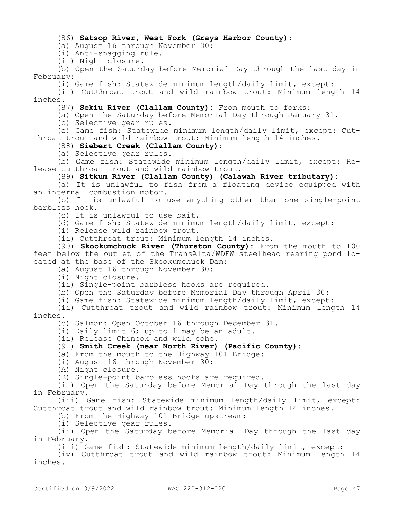#### (86) **Satsop River, West Fork (Grays Harbor County):**

(a) August 16 through November 30:

(i) Anti-snagging rule.

(ii) Night closure.

(b) Open the Saturday before Memorial Day through the last day in February:

(i) Game fish: Statewide minimum length/daily limit, except:

(ii) Cutthroat trout and wild rainbow trout: Minimum length 14 inches.

(87) **Sekiu River (Clallam County):** From mouth to forks:

(a) Open the Saturday before Memorial Day through January 31.

(b) Selective gear rules.

(c) Game fish: Statewide minimum length/daily limit, except: Cutthroat trout and wild rainbow trout: Minimum length 14 inches.

### (88) **Siebert Creek (Clallam County):**

(a) Selective gear rules.

(b) Game fish: Statewide minimum length/daily limit, except: Release cutthroat trout and wild rainbow trout.

(89) **Sitkum River (Clallam County) (Calawah River tributary):**

(a) It is unlawful to fish from a floating device equipped with an internal combustion motor.

(b) It is unlawful to use anything other than one single-point barbless hook.

(c) It is unlawful to use bait.

(d) Game fish: Statewide minimum length/daily limit, except:

(i) Release wild rainbow trout.

(ii) Cutthroat trout: Minimum length 14 inches.

(90) **Skookumchuck River (Thurston County):** From the mouth to 100 feet below the outlet of the TransAlta/WDFW steelhead rearing pond located at the base of the Skookumchuck Dam:

(a) August 16 through November 30:

(i) Night closure.

(ii) Single-point barbless hooks are required.

(b) Open the Saturday before Memorial Day through April 30:

(i) Game fish: Statewide minimum length/daily limit, except:

(ii) Cutthroat trout and wild rainbow trout: Minimum length 14 inches.

(c) Salmon: Open October 16 through December 31.

(i) Daily limit 6; up to 1 may be an adult.

(ii) Release Chinook and wild coho.

### (91) **Smith Creek (near North River) (Pacific County):**

(a) From the mouth to the Highway 101 Bridge:

(i) August 16 through November 30:

(A) Night closure.

(B) Single-point barbless hooks are required.

(ii) Open the Saturday before Memorial Day through the last day in February.

(iii) Game fish: Statewide minimum length/daily limit, except: Cutthroat trout and wild rainbow trout: Minimum length 14 inches.

(b) From the Highway 101 Bridge upstream:

(i) Selective gear rules.

(ii) Open the Saturday before Memorial Day through the last day in February.

(iii) Game fish: Statewide minimum length/daily limit, except:

(iv) Cutthroat trout and wild rainbow trout: Minimum length 14 inches.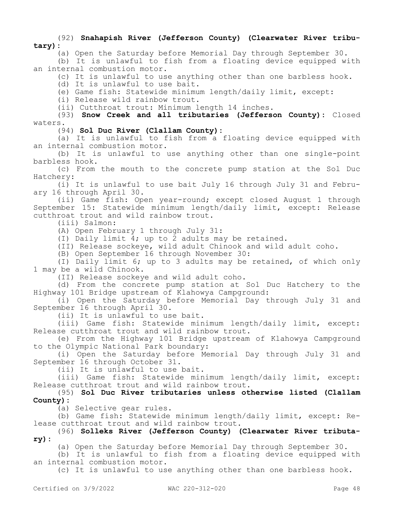(92) **Snahapish River (Jefferson County) (Clearwater River tributary):**

(a) Open the Saturday before Memorial Day through September 30.

(b) It is unlawful to fish from a floating device equipped with an internal combustion motor.

(c) It is unlawful to use anything other than one barbless hook.

(d) It is unlawful to use bait.

(e) Game fish: Statewide minimum length/daily limit, except:

(i) Release wild rainbow trout.

(ii) Cutthroat trout: Minimum length 14 inches.

(93) **Snow Creek and all tributaries (Jefferson County):** Closed waters.

(94) **Sol Duc River (Clallam County):**

(a) It is unlawful to fish from a floating device equipped with an internal combustion motor.

(b) It is unlawful to use anything other than one single-point barbless hook.

(c) From the mouth to the concrete pump station at the Sol Duc Hatchery:

(i) It is unlawful to use bait July 16 through July 31 and February 16 through April 30.

(ii) Game fish: Open year-round; except closed August 1 through September 15: Statewide minimum length/daily limit, except: Release cutthroat trout and wild rainbow trout.

(iii) Salmon:

(A) Open February 1 through July 31:

(I) Daily limit 4; up to 2 adults may be retained.

(II) Release sockeye, wild adult Chinook and wild adult coho.

(B) Open September 16 through November 30:

(I) Daily limit 6; up to 3 adults may be retained, of which only 1 may be a wild Chinook.

(II) Release sockeye and wild adult coho.

(d) From the concrete pump station at Sol Duc Hatchery to the Highway 101 Bridge upstream of Klahowya Campground:

(i) Open the Saturday before Memorial Day through July 31 and September 16 through April 30.

(ii) It is unlawful to use bait.

(iii) Game fish: Statewide minimum length/daily limit, except: Release cutthroat trout and wild rainbow trout.

(e) From the Highway 101 Bridge upstream of Klahowya Campground to the Olympic National Park boundary:

(i) Open the Saturday before Memorial Day through July 31 and September 16 through October 31.

(ii) It is unlawful to use bait.

(iii) Game fish: Statewide minimum length/daily limit, except: Release cutthroat trout and wild rainbow trout.

(95) **Sol Duc River tributaries unless otherwise listed (Clallam County):**

(a) Selective gear rules.

(b) Game fish: Statewide minimum length/daily limit, except: Release cutthroat trout and wild rainbow trout.

### (96) **Solleks River (Jefferson County) (Clearwater River tributary):**

(a) Open the Saturday before Memorial Day through September 30.

(b) It is unlawful to fish from a floating device equipped with an internal combustion motor.

(c) It is unlawful to use anything other than one barbless hook.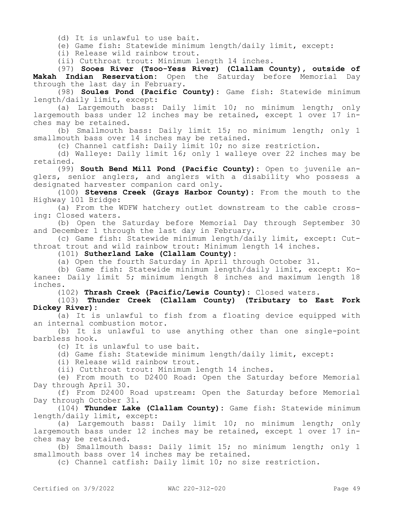(d) It is unlawful to use bait.

(e) Game fish: Statewide minimum length/daily limit, except:

(i) Release wild rainbow trout.

(ii) Cutthroat trout: Minimum length 14 inches.

(97) **Sooes River (Tsoo-Yess River) (Clallam County), outside of Makah Indian Reservation:** Open the Saturday before Memorial Day through the last day in February.

(98) **Soules Pond (Pacific County):** Game fish: Statewide minimum length/daily limit, except:

(a) Largemouth bass: Daily limit 10; no minimum length; only largemouth bass under 12 inches may be retained, except 1 over 17 inches may be retained.

(b) Smallmouth bass: Daily limit 15; no minimum length; only 1 smallmouth bass over 14 inches may be retained.

(c) Channel catfish: Daily limit 10; no size restriction.

(d) Walleye: Daily limit 16; only 1 walleye over 22 inches may be retained.

(99) **South Bend Mill Pond (Pacific County):** Open to juvenile anglers, senior anglers, and anglers with a disability who possess a designated harvester companion card only.

(100) **Stevens Creek (Grays Harbor County):** From the mouth to the Highway 101 Bridge:

(a) From the WDFW hatchery outlet downstream to the cable crossing: Closed waters.

(b) Open the Saturday before Memorial Day through September 30 and December 1 through the last day in February.

(c) Game fish: Statewide minimum length/daily limit, except: Cutthroat trout and wild rainbow trout: Minimum length 14 inches.

(101) **Sutherland Lake (Clallam County):**

(a) Open the fourth Saturday in April through October 31.

(b) Game fish: Statewide minimum length/daily limit, except: Kokanee: Daily limit 5; minimum length 8 inches and maximum length 18 inches.

(102) **Thrash Creek (Pacific/Lewis County):** Closed waters.

(103) **Thunder Creek (Clallam County) (Tributary to East Fork Dickey River):**

(a) It is unlawful to fish from a floating device equipped with an internal combustion motor.

(b) It is unlawful to use anything other than one single-point barbless hook.

(c) It is unlawful to use bait.

(d) Game fish: Statewide minimum length/daily limit, except:

(i) Release wild rainbow trout.

(ii) Cutthroat trout: Minimum length 14 inches.

(e) From mouth to D2400 Road: Open the Saturday before Memorial Day through April 30.

(f) From D2400 Road upstream: Open the Saturday before Memorial Day through October 31.

(104) **Thunder Lake (Clallam County):** Game fish: Statewide minimum length/daily limit, except:

(a) Largemouth bass: Daily limit 10; no minimum length; only largemouth bass under 12 inches may be retained, except 1 over 17 inches may be retained.

(b) Smallmouth bass: Daily limit 15; no minimum length; only 1 smallmouth bass over 14 inches may be retained.

(c) Channel catfish: Daily limit 10; no size restriction.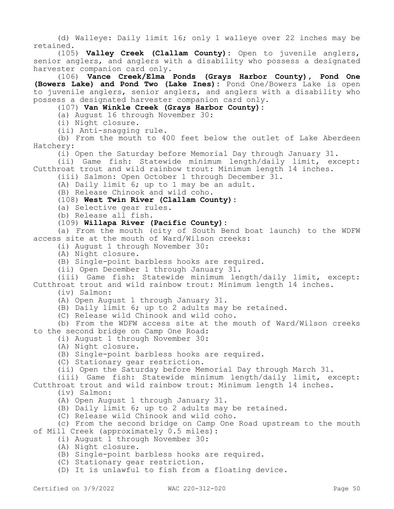(d) Walleye: Daily limit 16; only 1 walleye over 22 inches may be retained.

(105) **Valley Creek (Clallam County):** Open to juvenile anglers, senior anglers, and anglers with a disability who possess a designated harvester companion card only.

(106) **Vance Creek/Elma Ponds (Grays Harbor County), Pond One (Bowers Lake) and Pond Two (Lake Ines):** Pond One/Bowers Lake is open to juvenile anglers, senior anglers, and anglers with a disability who possess a designated harvester companion card only.

(107) **Van Winkle Creek (Grays Harbor County):**

(a) August 16 through November 30:

(i) Night closure.

(ii) Anti-snagging rule.

(b) From the mouth to 400 feet below the outlet of Lake Aberdeen Hatchery:

(i) Open the Saturday before Memorial Day through January 31.

(ii) Game fish: Statewide minimum length/daily limit, except: Cutthroat trout and wild rainbow trout: Minimum length 14 inches.

(iii) Salmon: Open October 1 through December 31.

(A) Daily limit 6; up to 1 may be an adult.

(B) Release Chinook and wild coho.

(108) **West Twin River (Clallam County):**

(a) Selective gear rules.

(b) Release all fish.

(109) **Willapa River (Pacific County):**

(a) From the mouth (city of South Bend boat launch) to the WDFW access site at the mouth of Ward/Wilson creeks:

(i) August 1 through November 30:

(A) Night closure.

(B) Single-point barbless hooks are required.

(ii) Open December 1 through January 31.

(iii) Game fish: Statewide minimum length/daily limit, except: Cutthroat trout and wild rainbow trout: Minimum length 14 inches.

(iv) Salmon:

(A) Open August 1 through January 31.

(B) Daily limit 6; up to 2 adults may be retained.

(C) Release wild Chinook and wild coho.

(b) From the WDFW access site at the mouth of Ward/Wilson creeks to the second bridge on Camp One Road:

(i) August 1 through November 30:

(A) Night closure.

(B) Single-point barbless hooks are required.

(C) Stationary gear restriction.

(ii) Open the Saturday before Memorial Day through March 31.

(iii) Game fish: Statewide minimum length/daily limit, except: Cutthroat trout and wild rainbow trout: Minimum length 14 inches.

(iv) Salmon:

(A) Open August 1 through January 31.

(B) Daily limit 6; up to 2 adults may be retained.

(C) Release wild Chinook and wild coho.

(c) From the second bridge on Camp One Road upstream to the mouth of Mill Creek (approximately 0.5 miles):

(i) August 1 through November 30:

(A) Night closure.

(B) Single-point barbless hooks are required.

(C) Stationary gear restriction.

(D) It is unlawful to fish from a floating device.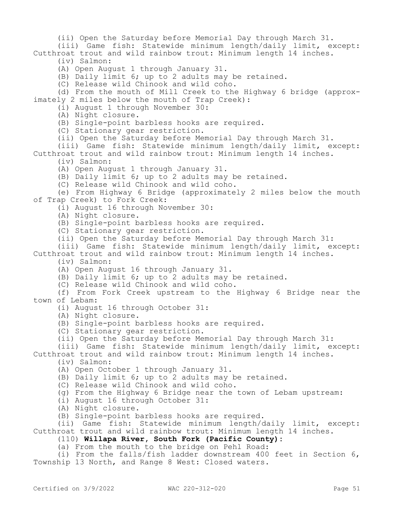(ii) Open the Saturday before Memorial Day through March 31.

(iii) Game fish: Statewide minimum length/daily limit, except: Cutthroat trout and wild rainbow trout: Minimum length 14 inches.

(iv) Salmon:

(A) Open August 1 through January 31.

(B) Daily limit 6; up to 2 adults may be retained.

(C) Release wild Chinook and wild coho.

(d) From the mouth of Mill Creek to the Highway 6 bridge (approximately 2 miles below the mouth of Trap Creek):

(i) August 1 through November 30:

(A) Night closure.

(B) Single-point barbless hooks are required.

(C) Stationary gear restriction.

(ii) Open the Saturday before Memorial Day through March 31.

(iii) Game fish: Statewide minimum length/daily limit, except: Cutthroat trout and wild rainbow trout: Minimum length 14 inches.

(iv) Salmon:

(A) Open August 1 through January 31.

(B) Daily limit 6; up to 2 adults may be retained.

(C) Release wild Chinook and wild coho.

(e) From Highway 6 Bridge (approximately 2 miles below the mouth of Trap Creek) to Fork Creek:

(i) August 16 through November 30:

(A) Night closure.

(B) Single-point barbless hooks are required.

(C) Stationary gear restriction.

(ii) Open the Saturday before Memorial Day through March 31:

(iii) Game fish: Statewide minimum length/daily limit, except: Cutthroat trout and wild rainbow trout: Minimum length 14 inches. (iv) Salmon:

(A) Open August 16 through January 31.

(B) Daily limit 6; up to 2 adults may be retained.

(C) Release wild Chinook and wild coho.

(f) From Fork Creek upstream to the Highway 6 Bridge near the town of Lebam:

(i) August 16 through October 31:

(A) Night closure.

(B) Single-point barbless hooks are required.

(C) Stationary gear restriction.

(ii) Open the Saturday before Memorial Day through March 31:

(iii) Game fish: Statewide minimum length/daily limit, except: Cutthroat trout and wild rainbow trout: Minimum length 14 inches.

(iv) Salmon:

(A) Open October 1 through January 31.

(B) Daily limit 6; up to 2 adults may be retained.

(C) Release wild Chinook and wild coho.

(g) From the Highway 6 Bridge near the town of Lebam upstream:

(i) August 16 through October 31:

(A) Night closure.

(B) Single-point barbless hooks are required.

(ii) Game fish: Statewide minimum length/daily limit, except: Cutthroat trout and wild rainbow trout: Minimum length 14 inches.

## (110) **Willapa River, South Fork (Pacific County):**

(a) From the mouth to the bridge on Pehl Road:

(i) From the falls/fish ladder downstream 400 feet in Section 6, Township 13 North, and Range 8 West: Closed waters.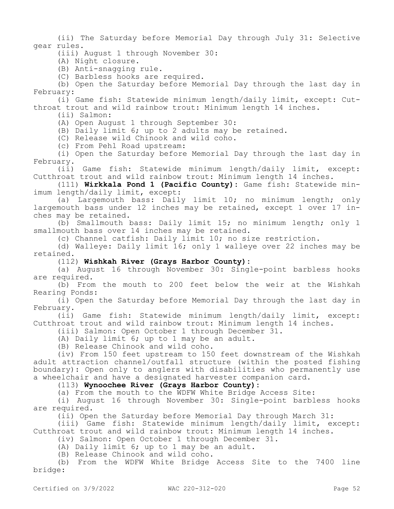(ii) The Saturday before Memorial Day through July 31: Selective gear rules.

(iii) August 1 through November 30:

(A) Night closure.

(B) Anti-snagging rule.

(C) Barbless hooks are required.

(b) Open the Saturday before Memorial Day through the last day in February:

(i) Game fish: Statewide minimum length/daily limit, except: Cutthroat trout and wild rainbow trout: Minimum length 14 inches.

(ii) Salmon:

(A) Open August 1 through September 30:

(B) Daily limit 6; up to 2 adults may be retained.

(C) Release wild Chinook and wild coho.

(c) From Pehl Road upstream:

(i) Open the Saturday before Memorial Day through the last day in February.

(ii) Game fish: Statewide minimum length/daily limit, except: Cutthroat trout and wild rainbow trout: Minimum length 14 inches.

(111) **Wirkkala Pond 1 (Pacific County):** Game fish: Statewide minimum length/daily limit, except:

(a) Largemouth bass: Daily limit 10; no minimum length; only largemouth bass under 12 inches may be retained, except 1 over 17 inches may be retained.

(b) Smallmouth bass: Daily limit 15; no minimum length; only 1 smallmouth bass over 14 inches may be retained.

(c) Channel catfish: Daily limit 10; no size restriction.

(d) Walleye: Daily limit 16; only 1 walleye over 22 inches may be retained.

(112) **Wishkah River (Grays Harbor County):**

(a) August 16 through November 30: Single-point barbless hooks are required.

(b) From the mouth to 200 feet below the weir at the Wishkah Rearing Ponds:

(i) Open the Saturday before Memorial Day through the last day in February.

(ii) Game fish: Statewide minimum length/daily limit, except: Cutthroat trout and wild rainbow trout: Minimum length 14 inches.

(iii) Salmon: Open October 1 through December 31.

(A) Daily limit 6; up to 1 may be an adult.

(B) Release Chinook and wild coho.

(iv) From 150 feet upstream to 150 feet downstream of the Wishkah adult attraction channel/outfall structure (within the posted fishing boundary): Open only to anglers with disabilities who permanently use a wheelchair and have a designated harvester companion card.

### (113) **Wynoochee River (Grays Harbor County):**

(a) From the mouth to the WDFW White Bridge Access Site:

(i) August 16 through November 30: Single-point barbless hooks are required.

(ii) Open the Saturday before Memorial Day through March 31:

(iii) Game fish: Statewide minimum length/daily limit, except: Cutthroat trout and wild rainbow trout: Minimum length 14 inches.

(iv) Salmon: Open October 1 through December 31.

(A) Daily limit 6; up to 1 may be an adult.

(B) Release Chinook and wild coho.

(b) From the WDFW White Bridge Access Site to the 7400 line bridge: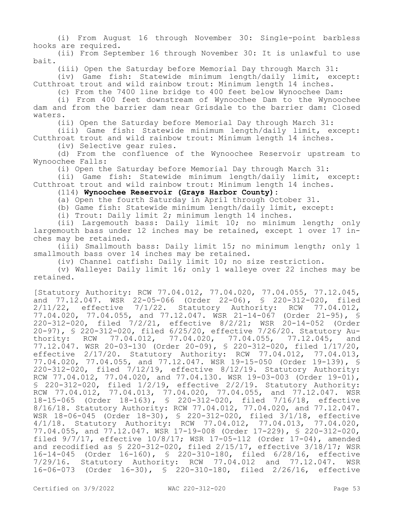(i) From August 16 through November 30: Single-point barbless hooks are required.

(ii) From September 16 through November 30: It is unlawful to use bait.

(iii) Open the Saturday before Memorial Day through March 31:

(iv) Game fish: Statewide minimum length/daily limit, except: Cutthroat trout and wild rainbow trout: Minimum length 14 inches.

(c) From the 7400 line bridge to 400 feet below Wynoochee Dam:

(i) From 400 feet downstream of Wynoochee Dam to the Wynoochee dam and from the barrier dam near Grisdale to the barrier dam: Closed waters.

(ii) Open the Saturday before Memorial Day through March 31:

(iii) Game fish: Statewide minimum length/daily limit, except: Cutthroat trout and wild rainbow trout: Minimum length 14 inches.

(iv) Selective gear rules.

(d) From the confluence of the Wynoochee Reservoir upstream to Wynoochee Falls:

(i) Open the Saturday before Memorial Day through March 31:

(ii) Game fish: Statewide minimum length/daily limit, except: Cutthroat trout and wild rainbow trout: Minimum length 14 inches.

(114) **Wynoochee Reservoir (Grays Harbor County):**

(a) Open the fourth Saturday in April through October 31.

(b) Game fish: Statewide minimum length/daily limit, except:

(i) Trout: Daily limit 2; minimum length 14 inches.

(ii) Largemouth bass: Daily limit 10; no minimum length; only largemouth bass under 12 inches may be retained, except 1 over 17 inches may be retained.

(iii) Smallmouth bass: Daily limit 15; no minimum length; only 1 smallmouth bass over 14 inches may be retained.

(iv) Channel catfish: Daily limit 10; no size restriction.

(v) Walleye: Daily limit 16; only 1 walleye over 22 inches may be retained.

[Statutory Authority: RCW 77.04.012, 77.04.020, 77.04.055, 77.12.045, and 77.12.047. WSR 22-05-066 (Order 22-06), § 220-312-020, filed 2/11/22, effective 7/1/22. Statutory Authority: RCW 77.04.012, 77.04.020, 77.04.055, and 77.12.047. WSR 21-14-067 (Order 21-95), § 220-312-020, filed 7/2/21, effective 8/2/21; WSR 20-14-052 (Order 20-97), § 220-312-020, filed 6/25/20, effective 7/26/20. Statutory Authority: RCW 77.04.012, 77.04.020, 77.04.055, 77.12.045, and 77.12.047. WSR 20-03-130 (Order 20-09), § 220-312-020, filed 1/17/20, effective 2/17/20. Statutory Authority: RCW 77.04.012, 77.04.013, 77.04.020, 77.04.055, and 77.12.047. WSR 19-15-050 (Order 19-139), § 220-312-020, filed 7/12/19, effective 8/12/19. Statutory Authority: RCW 77.04.012, 77.04.020, and 77.04.130. WSR 19-03-003 (Order 19-01), § 220-312-020, filed 1/2/19, effective 2/2/19. Statutory Authority: RCW 77.04.012, 77.04.013, 77.04.020, 77.04.055, and 77.12.047. WSR 18-15-065 (Order 18-163), § 220-312-020, filed 7/16/18, effective 8/16/18. Statutory Authority: RCW 77.04.012, 77.04.020, and 77.12.047. WSR 18-06-045 (Order 18-30), § 220-312-020, filed 3/1/18, effective 4/1/18. Statutory Authority: RCW 77.04.012, 77.04.013, 77.04.020, 77.04.055, and 77.12.047. WSR 17-19-008 (Order 17-229), § 220-312-020, filed 9/7/17, effective 10/8/17; WSR 17-05-112 (Order 17-04), amended and recodified as  $$ 220-312-020$ , filed  $2/15/17$ , effective  $3/18/17$ ; WSR 16-14-045 (Order 16-160), § 220-310-180, filed 6/28/16, effective 7/29/16. Statutory Authority: RCW 77.04.012 and 77.12.047. WSR 16-06-073 (Order 16-30), § 220-310-180, filed 2/26/16, effective